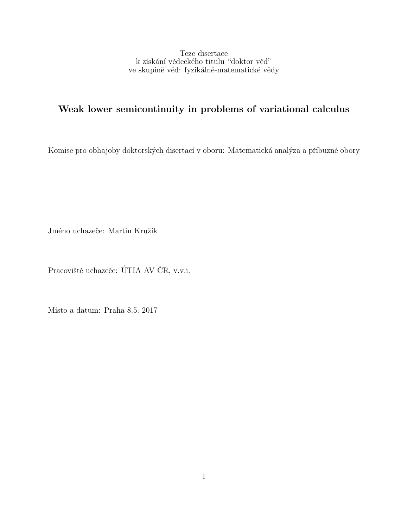Teze disertace k získání vědeckého titulu "doktor věd" ve skupině věd: fyzikálně-matematické vědy

# Weak lower semicontinuity in problems of variational calculus

Komise pro obhajoby doktorských disertací v oboru: Matematická analýza a příbuzné obory

Jméno uchazeče: Martin Kružík

Pracoviště uchazeče: ÚTIA AV ČR, v.v.i.  $\;$ 

Místo a datum: Praha 8.5. 2017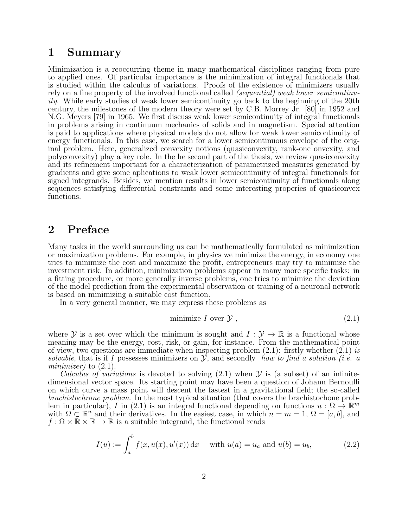### 1 Summary

Minimization is a reoccurring theme in many mathematical disciplines ranging from pure to applied ones. Of particular importance is the minimization of integral functionals that is studied within the calculus of variations. Proofs of the existence of minimizers usually rely on a fine property of the involved functional called *(sequential)* weak lower semicontinuity. While early studies of weak lower semicontinuity go back to the beginning of the 20th century, the milestones of the modern theory were set by C.B. Morrey Jr. [80] in 1952 and N.G. Meyers [79] in 1965. We first discuss weak lower semicontinuity of integral functionals in problems arising in continuum mechanics of solids and in magnetism. Special attention is paid to applications where physical models do not allow for weak lower semicontinuity of energy functionals. In this case, we search for a lower semicontinuous envelope of the original problem. Here, generalized convexity notions (quasiconvexity, rank-one onvexity, and polyconvexity) play a key role. In the he second part of the thesis, we review quasiconvexity and its refinement important for a characterization of parametrized measures generated by gradients and give some aplications to weak lower semicontinuity of integral functionals for signed integrands. Besides, we mention results in lower semicontinuity of functionals along sequences satisfying differential constraints and some interesting properies of quasiconvex functions.

## 2 Preface

Many tasks in the world surrounding us can be mathematically formulated as minimization or maximization problems. For example, in physics we minimize the energy, in economy one tries to minimize the cost and maximize the profit, entrepreneurs may try to minimize the investment risk. In addition, minimization problems appear in many more specific tasks: in a fitting procedure, or more generally inverse problems, one tries to minimize the deviation of the model prediction from the experimental observation or training of a neuronal network is based on minimizing a suitable cost function.

In a very general manner, we may express these problems as

$$
minimize I over \mathcal{Y}, \qquad (2.1)
$$

where Y is a set over which the minimum is sought and  $I: \mathcal{Y} \to \mathbb{R}$  is a functional whose meaning may be the energy, cost, risk, or gain, for instance. From the mathematical point of view, two questions are immediate when inspecting problem  $(2.1)$ : firstly whether  $(2.1)$  is solvable, that is if I possesses minimizers on  $\mathcal{Y}$ , and secondly how to find a solution (i.e. a minimizer) to  $(2.1)$ .

Calculus of variations is devoted to solving  $(2.1)$  when  $\mathcal Y$  is (a subset) of an infinitedimensional vector space. Its starting point may have been a question of Johann Bernoulli on which curve a mass point will descent the fastest in a gravitational field; the so-called brachistochrone problem. In the most typical situation (that covers the brachistochone problem in particular), I in (2.1) is an integral functional depending on functions  $u : \Omega \to \mathbb{R}^m$ with  $\Omega \subset \mathbb{R}^n$  and their derivatives. In the easiest case, in which  $n = m = 1$ ,  $\Omega = [a, b]$ , and  $f: \Omega \times \mathbb{R} \times \mathbb{R} \to \mathbb{R}$  is a suitable integrand, the functional reads

$$
I(u) := \int_{a}^{b} f(x, u(x), u'(x)) dx \quad \text{with } u(a) = u_a \text{ and } u(b) = u_b,
$$
 (2.2)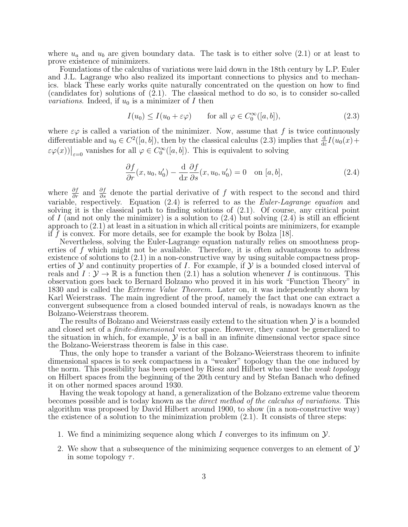where  $u_a$  and  $u_b$  are given boundary data. The task is to either solve  $(2.1)$  or at least to prove existence of minimizers.

Foundations of the calculus of variations were laid down in the 18th century by L.P. Euler and J.L. Lagrange who also realized its important connections to physics and to mechanics. black These early works quite naturally concentrated on the question on how to find (candidates for) solutions of (2.1). The classical method to do so, is to consider so-called *variations*. Indeed, if  $u_0$  is a minimizer of I then

$$
I(u_0) \le I(u_0 + \varepsilon \varphi) \qquad \text{for all } \varphi \in C_0^{\infty}([a, b]), \tag{2.3}
$$

where  $\varepsilon\varphi$  is called a variation of the minimizer. Now, assume that f is twice continuously differentiable and  $u_0 \in C^2([a, b])$ , then by the classical calculus (2.3) implies that  $\frac{d}{d\varepsilon}I(u_0(x) +$  $\epsilon\varphi(x)|_{\epsilon=0}$  vanishes for all  $\varphi \in C_0^{\infty}([a, b])$ . This is equivalent to solving

$$
\frac{\partial f}{\partial r}(x, u_0, u'_0) - \frac{\mathrm{d}}{\mathrm{d}x} \frac{\partial f}{\partial s}(x, u_0, u'_0) = 0 \quad \text{on } [a, b], \tag{2.4}
$$

where  $\frac{\partial f}{\partial r}$  and  $\frac{\partial f}{\partial s}$  denote the partial derivative of f with respect to the second and third variable, respectively. Equation (2.4) is referred to as the *Euler-Lagrange equation* and solving it is the classical path to finding solutions of (2.1). Of course, any critical point of I (and not only the minimizer) is a solution to  $(2.4)$  but solving  $(2.4)$  is still an efficient approach to (2.1) at least in a situation in which all critical points are minimizers, for example if f is convex. For more details, see for example the book by Bolza  $[18]$ .

Nevertheless, solving the Euler-Lagrange equation naturally relies on smoothness properties of f which might not be available. Therefore, it is often advantageous to address existence of solutions to (2.1) in a non-constructive way by using suitable compactness properties of  $\mathcal Y$  and continuity properties of I. For example, if  $\mathcal Y$  is a bounded closed interval of reals and  $I: \mathcal{Y} \to \mathbb{R}$  is a function then (2.1) has a solution whenever I is continuous. This observation goes back to Bernard Bolzano who proved it in his work "Function Theory" in 1830 and is called the Extreme Value Theorem. Later on, it was independently shown by Karl Weierstrass. The main ingredient of the proof, namely the fact that one can extract a convergent subsequence from a closed bounded interval of reals, is nowadays known as the Bolzano-Weierstrass theorem.

The results of Bolzano and Weierstrass easily extend to the situation when  $\mathcal Y$  is a bounded and closed set of a finite-dimensional vector space. However, they cannot be generalized to the situation in which, for example,  $\mathcal Y$  is a ball in an infinite dimensional vector space since the Bolzano-Weierstrass theorem is false in this case.

Thus, the only hope to transfer a variant of the Bolzano-Weierstrass theorem to infinite dimensional spaces is to seek compactness in a "weaker" topology than the one induced by the norm. This possibility has been opened by Riesz and Hilbert who used the weak topology on Hilbert spaces from the beginning of the 20th century and by Stefan Banach who defined it on other normed spaces around 1930.

Having the weak topology at hand, a generalization of the Bolzano extreme value theorem becomes possible and is today known as the direct method of the calculus of variations. This algorithm was proposed by David Hilbert around 1900, to show (in a non-constructive way) the existence of a solution to the minimization problem  $(2.1)$ . It consists of three steps:

- 1. We find a minimizing sequence along which I converges to its infimum on  $\mathcal{Y}$ .
- 2. We show that a subsequence of the minimizing sequence converges to an element of  $\mathcal Y$ in some topology  $\tau$ .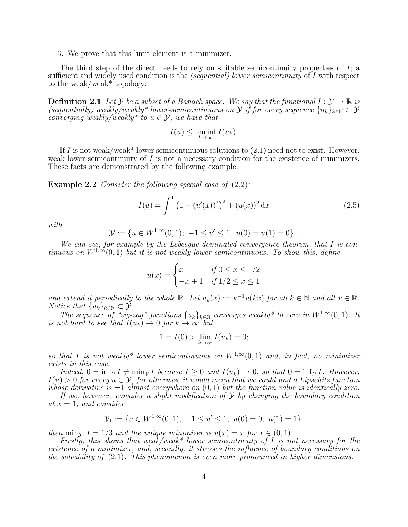3. We prove that this limit element is a minimizer.

The third step of the direct needs to rely on suitable semicontinuity properties of  $I$ ; a sufficient and widely used condition is the *(sequential) lower semicontinuity* of I with respect to the weak/weak\* topology:

**Definition 2.1** Let Y be a subset of a Banach space. We say that the functional  $I: \mathcal{Y} \to \mathbb{R}$  is (sequentially) weakly/weakly\* lower-semicontinuous on  $\mathcal Y$  if for every sequence  $\{u_k\}_{k\in\mathbb N}\subset\mathcal Y$ converging weakly/weakly\* to  $u \in \mathcal{Y}$ , we have that

$$
I(u) \le \liminf_{k \to \infty} I(u_k).
$$

If I is not weak/weak\* lower semicontinuous solutions to  $(2.1)$  need not to exist. However, weak lower semicontinuity of  $I$  is not a necessary condition for the existence of minimizers. These facts are demonstrated by the following example.

**Example 2.2** Consider the following special case of  $(2.2)$ :

$$
I(u) = \int_0^1 (1 - (u'(x))^2)^2 + (u(x))^2 dx
$$
 (2.5)

with

$$
\mathcal{Y} := \{ u \in W^{1,\infty}(0,1); -1 \le u' \le 1, \ u(0) = u(1) = 0 \} .
$$

We can see, for example by the Lebesgue dominated convergence theorem, that I is continuous on  $W^{1,\infty}(0,1)$  but it is not weakly lower semicontinuous. To show this, define

$$
u(x) = \begin{cases} x & \text{if } 0 \le x \le 1/2 \\ -x+1 & \text{if } 1/2 \le x \le 1 \end{cases}
$$

and extend it periodically to the whole  $\mathbb R$ . Let  $u_k(x) := k^{-1}u(kx)$  for all  $k \in \mathbb N$  and all  $x \in \mathbb R$ . *Notice that*  $\{u_k\}_{k\in\mathbb{N}} \subset \mathcal{Y}$ .

The sequence of "zig-zag" functions  $\{u_k\}_{k\in\mathbb{N}}$  converges weakly\* to zero in  $W^{1,\infty}(0,1)$ . It is not hard to see that  $I(u_k) \to 0$  for  $k \to \infty$  but

$$
1 = I(0) > \lim_{k \to \infty} I(u_k) = 0;
$$

so that I is not weakly\* lower semicontinuous on  $W^{1,\infty}(0,1)$  and, in fact, no minimizer exists in this case.

Indeed,  $0 = \inf_{\mathcal{Y}} I \neq \min_{\mathcal{Y}} I$  because  $I \geq 0$  and  $I(u_k) \to 0$ , so that  $0 = \inf_{\mathcal{Y}} I$ . However,  $I(u) > 0$  for every  $u \in \mathcal{Y}$ , for otherwise it would mean that we could find a Lipschitz function whose derivative is  $\pm 1$  almost everywhere on  $(0, 1)$  but the function value is identically zero.

If we, however, consider a slight modification of  $\mathcal Y$  by changing the boundary condition at  $x = 1$ , and consider

$$
\mathcal{Y}_1 := \{ u \in W^{1,\infty}(0,1); -1 \le u' \le 1, \ u(0) = 0, \ u(1) = 1 \}
$$

then  $\min_{\mathcal{Y}_1} I = 1/3$  and the unique minimizer is  $u(x) = x$  for  $x \in (0, 1)$ .

Firstly, this shows that weak/weak\* lower semicontinuity of  $I$  is not necessary for the existence of a minimizer, and, secondly, it stresses the influence of boundary conditions on the solvability of (2.1). This phenomenon is even more pronounced in higher dimensions.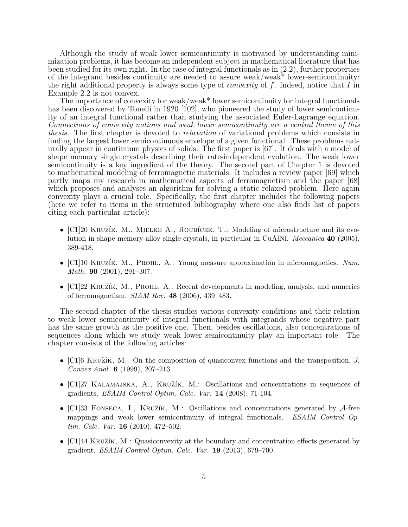Although the study of weak lower semicontinuity is motivated by understanding minimization problems, it has become an independent subject in mathematical literature that has been studied for its own right. In the case of integral functionals as in (2.2), further properties of the integrand besides continuity are needed to assure weak/weak\* lower-semicontinuity: the right additional property is always some type of *convexity* of f. Indeed, notice that I in Example 2.2 is not convex.

The importance of convexity for weak/weak\* lower semicontinuity for integral functionals has been discovered by Tonelli in 1920 [102], who pioneered the study of lower semicontinuity of an integral functional rather than studying the associated Euler-Lagrange equation. Connections of convexity notions and weak lower semicontinuity are a central theme of this thesis. The first chapter is devoted to relaxation of variational problems which consists in finding the largest lower semicontinuous envelope of a given functional. These problems naturally appear in continuum physics of solids. The first paper is [67]. It deals with a model of shape memory single crystals describing their rate-independent evolution. The weak lower semicontinuity is a key ingredient of the theory. The second part of Chapter 1 is devoted to mathematical modeling of ferromagnetic materials. It includes a review paper [69] which partly maps my research in mathematical aspects of ferromagnetism and the paper [68] which proposes and analyses an algorithm for solving a static relaxed problem. Here again convexity plays a crucial role. Specifically, the first chapter includes the following papers (here we refer to items in the structured bibliography where one also finds list of papers citing each particular article):

- $\lbrack \text{C1}\rbrack 20$  Kružík, M., MIELKE A., ROUBÍČEK, T.: Modeling of microstructure and its evolution in shape memory-alloy single-crystals, in particular in CuAlNi. Meccanica 40 (2005), 389-418.
- $\lceil \text{C1} \rceil$ 10 KRUŽÍK, M., PROHL, A.: Young measure approximation in micromagnetics. Num. Math. **90** (2001), 291-307.
- $\lbrack \text{C1} \rbrack 22$  KRUŽÍK, M., PROHL, A.: Recent developments in modeling, analysis, and numerics of ferromagnetism. SIAM Rev. 48 (2006), 439–483.

The second chapter of the thesis studies various convexity conditions and their relation to weak lower semicontinuity of integral functionals with integrands whose negative part has the same growth as the positive one. Then, besides oscillations, also concentrations of sequences along which we study weak lower semicontinuity play an important role. The chapter consists of the following articles:

- $\lbrack \text{C1} \rbrack$ 6 KRUŽÍK, M.: On the composition of quasiconvex functions and the transposition, J. Convex Anal. 6 (1999), 207–213.
- $\lbrack \text{C1} \rbrack$ 27 KALAMAJSKA, A., KRUŽÍK, M.: Oscillations and concentrations in sequences of gradients. ESAIM Control Optim. Calc. Var. 14 (2008), 71-104.
- [C1]33 FONSECA, I., KRUŽÍK, M.: Oscillations and concentrations generated by  $\mathcal{A}$ -free mappings and weak lower semicontinuity of integral functionals. ESAIM Control Op $tim. \, Calc. \, Var. \, 16 \, (2010), \, 472-502.$
- $\lbrack \text{C1} \rbrack$ 44 KRUŽÍK, M.: Quasiconvexity at the boundary and concentration effects generated by gradient. ESAIM Control Optim. Calc. Var. 19 (2013), 679–700.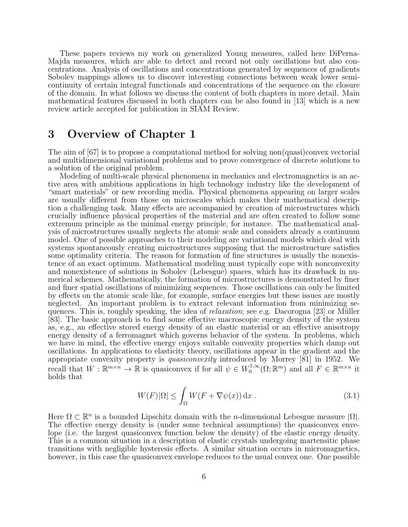These papers reviews my work on generalized Young measures, called here DiPerna-Majda measures, which are able to detect and record not only oscillations but also concentrations. Analysis of oscillations and concentrations generated by sequences of gradients Sobolev mappings allows us to discover interesting connections between weak lower semicontinuity of certain integral functionals and concentrations of the sequence on the closure of the domain. In what follows we discuss the content of both chapters in more detail. Main mathematical features discussed in both chapters can be also found in [13] which is a new review article accepted for publication in SIAM Review.

# 3 Overview of Chapter 1

The aim of [67] is to propose a computational method for solving non(quasi)convex vectorial and multidimensional variational problems and to prove convergence of discrete solutions to a solution of the original problem.

Modeling of multi-scale physical phenomena in mechanics and electromagnetics is an active area with ambitious applications in high technology industry like the development of "smart materials" or new recording media. Physical phenomena appearing on larger scales are usually different from those on microscales which makes their mathematical description a challenging task. Many effects are accompanied by creation of microstructures which crucially influence physical properties of the material and are often created to follow some extremum principle as the minimal energy principle, for instance. The mathematical analysis of microstructures usually neglects the atomic scale and considers already a continuum model. One of possible approaches to their modeling are variational models which deal with systems spontaneously creating microstructures supposing that the microstructure satisfies some optimality criteria. The reason for formation of fine structures is usually the nonexistence of an exact optimum. Mathematical modeling must typically cope with nonconvexity and nonexistence of solutions in Sobolev (Lebesgue) spaces, which has its drawback in numerical schemes. Mathematically, the formation of microstructures is demonstrated by finer and finer spatial oscillations of minimizing sequences. Those oscillations can only be limited by effects on the atomic scale like, for example, surface energies but these issues are mostly neglected. An important problem is to extract relevant information from minimizing sequences. This is, roughly speaking, the idea of *relaxation*; see e.g. Dacorogna [23] or Müller [83]. The basic approach is to find some effective macroscopic energy density of the system as, e.g., an effective stored energy density of an elastic material or an effective anisotropy energy density of a ferromagnet which governs behavior of the system. In problems, which we have in mind, the effective energy enjoys suitable convexity properties which damp out oscillations. In applications to elasticity theory, oscillations appear in the gradient and the appropriate convexity property is quasiconvexity introduced by Morrey [81] in 1952. We recall that  $W : \mathbb{R}^{m \times n} \to \mathbb{R}$  is quasiconvex if for all  $\psi \in W_0^{1,\infty}$  $\mathcal{L}_0^{1,\infty}(\Omega;\mathbb{R}^m)$  and all  $F \in \mathbb{R}^{m \times n}$  it holds that

$$
W(F)|\Omega| \le \int_{\Omega} W(F + \nabla \psi(x)) \, \mathrm{d}x \; . \tag{3.1}
$$

Here  $\Omega \subset \mathbb{R}^n$  is a bounded Lipschitz domain with the *n*-dimensional Lebesgue measure  $|\Omega|$ . The effective energy density is (under some technical assumptions) the quasiconvex envelope (i.e. the largest quasiconvex function below the density) of the elastic energy density. This is a common situation in a description of elastic crystals undergoing martensitic phase transitions with negligible hysteresis effects. A similar situation occurs in micromagnetics, however, in this case the quasiconvex envelope reduces to the usual convex one. One possible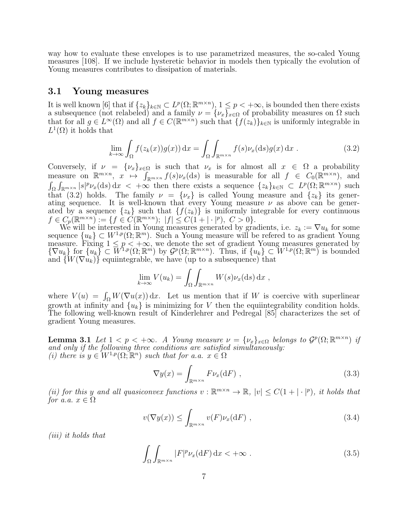way how to evaluate these envelopes is to use parametrized measures, the so-caled Young measures [108]. If we include hysteretic behavior in models then typically the evolution of Young measures contributes to dissipation of materials.

#### 3.1 Young measures

It is well known [6] that if  $\{z_k\}_{k\in\mathbb{N}} \subset L^p(\Omega;\mathbb{R}^{m\times n})$ ,  $1 \leq p < +\infty$ , is bounded then there exists a subsequence (not relabeled) and a family  $\nu = {\{\nu_x\}}_{x \in \Omega}$  of probability measures on  $\Omega$  such that for all  $g \in L^{\infty}(\Omega)$  and all  $f \in C(\mathbb{R}^{m \times n})$  such that  $\{f(z_k)\}_{k \in \mathbb{N}}$  is uniformly integrable in  $L^1(\Omega)$  it holds that

$$
\lim_{k \to \infty} \int_{\Omega} f(z_k(x))g(x) dx = \int_{\Omega} \int_{\mathbb{R}^{m \times n}} f(s) \nu_x(ds)g(x) dx . \tag{3.2}
$$

Conversely, if  $\nu = {\{\nu_x\}}_{x \in \Omega}$  is such that  $\nu_x$  is for almost all  $x \in \Omega$  a probability measure on  $\mathbb{R}^{m \times n}$ ,  $x \mapsto \int_{\mathbb{R}^{m \times n}} f(s) \nu_x(ds)$  is measurable for all  $f \in C_0(\mathbb{R}^{m \times n})$ , and  $\int_{\Omega} \int_{\mathbb{R}^{m \times n}} |s|^p \nu_x(\text{d}s) \, \text{d}x < +\infty$  then there exists a sequence  $\{z_k\}_{k \in \mathbb{N}} \subset L^p(\Omega; \mathbb{R}^{m \times n})$  such that (3.2) holds. The family  $\nu = {\nu_x}$  is called Young measure and  ${z_k}$  its generating sequence. It is well-known that every Young measure  $\nu$  as above can be generated by a sequence  $\{z_k\}$  such that  $\{f(z_k)\}\$ is uniformly integrable for every continuous  $f \in C_p(\mathbb{R}^{m \times n}) := \{f \in C(\mathbb{R}^{m \times n}); |f| \leq C(1 + |\cdot|^p), C > 0\}.$ 

We will be interested in Young measures generated by gradients, i.e.  $z_k := \nabla u_k$  for some sequence  ${u_k} \subset W^{1,p}(\Omega;\mathbb{R}^m)$ . Such a Young measure will be refered to as gradient Young measure. Fixing  $1 \leq p \lt +\infty$ , we denote the set of gradient Young measures generated by  ${\overline{\{\nabla u_k\}}}$  for  ${u_k} \in {\overline{W}}^{1,p}(\Omega;\mathbb{R}^m)$  by  $\mathcal{G}^p(\Omega;\mathbb{R}^{m\times n})$ . Thus, if  ${u_k} \in W^{1,p}(\Omega;\mathbb{R}^m)$  is bounded and  $\{W(\nabla u_k)\}\$  equiintegrable, we have (up to a subsequence) that

$$
\lim_{k \to \infty} V(u_k) = \int_{\Omega} \int_{\mathbb{R}^{m \times n}} W(s) \nu_x(\mathrm{d}s) \, \mathrm{d}x ,
$$

where  $V(u) = \int_{\Omega} W(\nabla u(x)) dx$ . Let us mention that if W is coercive with superlinear growth at infinity and  $\{u_k\}$  is minimizing for V then the equiintegrability condition holds. The following well-known result of Kinderlehrer and Pedregal [85] characterizes the set of gradient Young measures.

**Lemma 3.1** Let  $1 < p < +\infty$ . A Young measure  $\nu = {\{\nu_x\}}_{x \in \Omega}$  belongs to  $\mathcal{G}^p(\Omega; \mathbb{R}^{m \times n})$  if and only if the following three conditions are satisfied simultaneously: (i) there is  $y \in W^{1,p}(\Omega;\mathbb{R}^n)$  such that for a.a.  $x \in \Omega$ 

$$
\nabla y(x) = \int_{\mathbb{R}^{m \times n}} F \nu_x(\mathrm{d}F) , \qquad (3.3)
$$

(ii) for this y and all quasiconvex functions  $v : \mathbb{R}^{m \times n} \to \mathbb{R}$ ,  $|v| \leq C(1 + |\cdot|^p)$ , it holds that for a.a.  $x \in \Omega$ 

$$
v(\nabla y(x)) \le \int_{\mathbb{R}^{m \times n}} v(F) \nu_x(\mathrm{d}F) , \qquad (3.4)
$$

(iii) it holds that

$$
\int_{\Omega} \int_{\mathbb{R}^{m \times n}} |F|^p \nu_x(\mathrm{d} F) \, \mathrm{d} x < +\infty \tag{3.5}
$$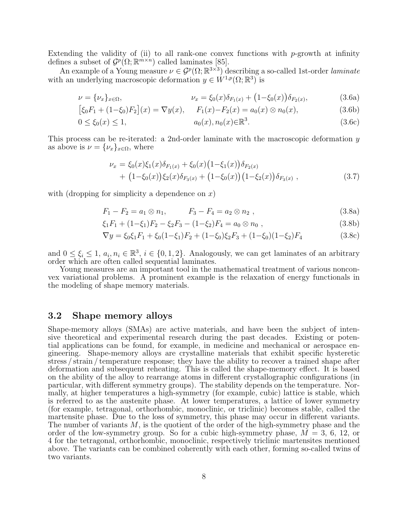Extending the validity of (ii) to all rank-one convex functions with  $p$ -growth at infinity defines a subset of  $\mathcal{G}^p(\Omega;\mathbb{R}^{m\times n})$  called laminates [85].

An example of a Young measure  $\nu \in \mathcal{G}^p(\Omega;\mathbb{R}^{3\times 3})$  describing a so-called 1st-order laminate with an underlying macroscopic deformation  $y \in W^{1,p}(\Omega;\mathbb{R}^3)$  is

$$
\nu = {\nu_x}_{x \in \Omega}, \qquad \nu_x = {\xi_0}(x)\delta_{F_1(x)} + (1 - {\xi_0}(x))\delta_{F_2(x)}, \qquad (3.6a)
$$

$$
[\xi_0 F_1 + (1 - \xi_0) F_2](x) = \nabla y(x), \quad F_1(x) - F_2(x) = a_0(x) \otimes n_0(x), \tag{3.6b}
$$

$$
0 \le \xi_0(x) \le 1, \qquad a_0(x), n_0(x) \in \mathbb{R}^3. \tag{3.6c}
$$

This process can be re-iterated: a 2nd-order laminate with the macroscopic deformation y as above is  $\nu = {\nu_x}_{x \in \Omega}$ , where

$$
\nu_x = \xi_0(x)\xi_1(x)\delta_{F_1(x)} + \xi_0(x)\left(1-\xi_1(x)\right)\delta_{F_2(x)} + \left(1-\xi_0(x)\right)\xi_2(x)\delta_{F_3(x)} + \left(1-\xi_0(x)\right)\left(1-\xi_2(x)\right)\delta_{F_3(x)},
$$
\n(3.7)

with (dropping for simplicity a dependence on  $x$ )

$$
F_1 - F_2 = a_1 \otimes n_1, \qquad F_3 - F_4 = a_2 \otimes n_2 \tag{3.8a}
$$

$$
\xi_1 F_1 + (1 - \xi_1) F_2 - \xi_2 F_3 - (1 - \xi_2) F_4 = a_0 \otimes n_0 , \qquad (3.8b)
$$

$$
\nabla y = \xi_0 \xi_1 F_1 + \xi_0 (1 - \xi_1) F_2 + (1 - \xi_0) \xi_2 F_3 + (1 - \xi_0) (1 - \xi_2) F_4 \tag{3.8c}
$$

and  $0 \leq \xi_i \leq 1, a_i, n_i \in \mathbb{R}^3, i \in \{0, 1, 2\}$ . Analogously, we can get laminates of an arbitrary order which are often called sequential laminates.

Young measures are an important tool in the mathematical treatment of various nonconvex variational problems. A prominent example is the relaxation of energy functionals in the modeling of shape memory materials.

### 3.2 Shape memory alloys

Shape-memory alloys (SMAs) are active materials, and have been the subject of intensive theoretical and experimental research during the past decades. Existing or potential applications can be found, for example, in medicine and mechanical or aerospace engineering. Shape-memory alloys are crystalline materials that exhibit specific hysteretic stress / strain / temperature response; they have the ability to recover a trained shape after deformation and subsequent reheating. This is called the shape-memory effect. It is based on the ability of the alloy to rearrange atoms in different crystallographic configurations (in particular, with different symmetry groups). The stability depends on the temperature. Normally, at higher temperatures a high-symmetry (for example, cubic) lattice is stable, which is referred to as the austenite phase. At lower temperatures, a lattice of lower symmetry (for example, tetragonal, orthorhombic, monoclinic, or triclinic) becomes stable, called the martensite phase. Due to the loss of symmetry, this phase may occur in different variants. The number of variants  $M$ , is the quotient of the order of the high-symmetry phase and the order of the low-symmetry group. So for a cubic high-symmetry phase,  $M = 3, 6, 12,$  or 4 for the tetragonal, orthorhombic, monoclinic, respectively triclinic martensites mentioned above. The variants can be combined coherently with each other, forming so-called twins of two variants.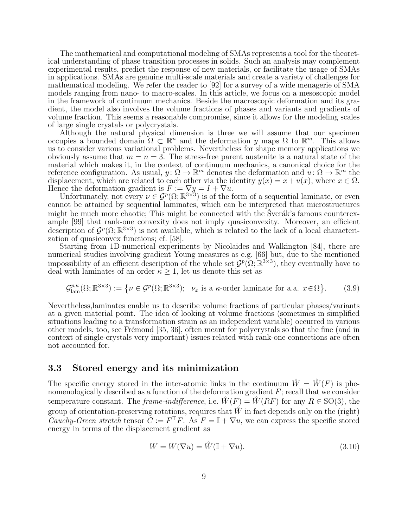The mathematical and computational modeling of SMAs represents a tool for the theoretical understanding of phase transition processes in solids. Such an analysis may complement experimental results, predict the response of new materials, or facilitate the usage of SMAs in applications. SMAs are genuine multi-scale materials and create a variety of challenges for mathematical modeling. We refer the reader to [92] for a survey of a wide menagerie of SMA models ranging from nano- to macro-scales. In this article, we focus on a mesoscopic model in the framework of continuum mechanics. Beside the macroscopic deformation and its gradient, the model also involves the volume fractions of phases and variants and gradients of volume fraction. This seems a reasonable compromise, since it allows for the modeling scales of large single crystals or polycrystals.

Although the natural physical dimension is three we will assume that our specimen occupies a bounded domain  $Ω ⊂ ℝ<sup>n</sup>$  and the deformation y maps  $Ω$  to ℝ<sup>m</sup>. This allows us to consider various variational problems. Nevertheless for shape memory applications we obviously assume that  $m = n = 3$ . The stress-free parent austenite is a natural state of the material which makes it, in the context of continuum mechanics, a canonical choice for the reference configuration. As usual,  $y: \Omega \to \mathbb{R}^m$  denotes the deformation and  $u: \Omega \to \mathbb{R}^m$  the displacement, which are related to each other via the identity  $y(x) = x + u(x)$ , where  $x \in \Omega$ . Hence the deformation gradient is  $F := \nabla y = I + \nabla u$ .

Unfortunately, not every  $\nu \in \mathcal{G}^p(\Omega;\mathbb{R}^{3\times3})$  is of the form of a sequential laminate, or even cannot be attained by sequential laminates, which can be interpreted that microstructures might be much more chaotic; This might be connected with the  $\tilde{S}$ ver $\tilde{a}k$ 's famous counterexample [99] that rank-one convexity does not imply quasiconvexity. Moreover, an efficient description of  $\mathcal{G}^p(\Omega;\mathbb{R}^{3\times3})$  is not available, which is related to the lack of a local characterization of quasiconvex functions; cf. [58].

Starting from 1D-numerical experiments by Nicolaides and Walkington [84], there are numerical studies involving gradient Young measures as e.g. [66] but, due to the mentioned impossibility of an efficient description of the whole set  $\mathcal{G}^p(\Omega;\mathbb{R}^{3\times3})$ , they eventually have to deal with laminates of an order  $\kappa > 1$ , let us denote this set as

$$
\mathcal{G}^{p,\kappa}_{\text{lam}}(\Omega;\mathbb{R}^{3\times3}) := \left\{ \nu \in \mathcal{G}^p(\Omega;\mathbb{R}^{3\times3}); \ \nu_x \text{ is a } \kappa\text{-order laminate for a.a. } x \in \Omega \right\}. \tag{3.9}
$$

Nevertheless,laminates enable us to describe volume fractions of particular phases/variants at a given material point. The idea of looking at volume fractions (sometimes in simplified situations leading to a transformation strain as an independent variable) occurred in various other models, too, see Frémond [35, 36], often meant for polycrystals so that the fine (and in context of single-crystals very important) issues related with rank-one connections are often not accounted for.

#### 3.3 Stored energy and its minimization

The specific energy stored in the inter-atomic links in the continuum  $\hat{W} = \hat{W}(F)$  is phenomenologically described as a function of the deformation gradient  $F$ ; recall that we consider temperature constant. The frame-indifference, i.e.  $\hat{W}(F) = \hat{W}(RF)$  for any  $R \in SO(3)$ , the group of orientation-preserving rotations, requires that  $\hat{W}$  in fact depends only on the (right) Cauchy-Green stretch tensor  $\tilde{C} := F^{\top}F$ . As  $F = \mathbb{I} + \nabla u$ , we can express the specific stored energy in terms of the displacement gradient as

$$
W = W(\nabla u) = \hat{W}(\mathbb{I} + \nabla u). \tag{3.10}
$$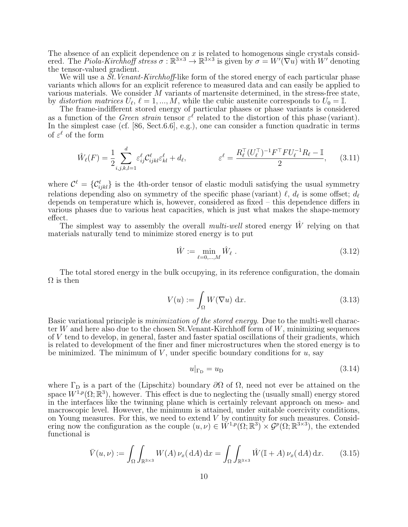The absence of an explicit dependence on  $x$  is related to homogenous single crystals considered. The *Piola-Kirchhoff stress*  $\sigma : \mathbb{R}^{3 \times 3} \to \mathbb{R}^{3 \times 3}$  is given by  $\sigma = W'(\nabla u)$  with W' denoting the tensor-valued gradient.

We will use a  $\tilde{St}$ . Venant-Kirchhoff-like form of the stored energy of each particular phase variants which allows for an explicit reference to measured data and can easily be applied to various materials. We consider M variants of martensite determined, in the stress-free state, by distortion matrices  $U_{\ell}$ ,  $\ell = 1, ..., M$ , while the cubic austenite corresponds to  $U_0 = \mathbb{I}$ .

The frame-indifferent stored energy of particular phases or phase variants is considered as a function of the *Green strain* tensor  $\varepsilon^{\ell}$  related to the distortion of this phase (variant). In the simplest case (cf. [86, Sect.6.6], e.g.), one can consider a function quadratic in terms of  $\varepsilon^{\ell}$  of the form

$$
\hat{W}_{\ell}(F) = \frac{1}{2} \sum_{i,j,k,l=1}^{d} \varepsilon_{ij}^{\ell} C_{ijkl}^{\ell} \varepsilon_{kl}^{\ell} + d_{\ell}, \qquad \varepsilon^{\ell} = \frac{R_{\ell}^{\top} (U_{\ell}^{\top})^{-1} F^{\top} F U_{\ell}^{-1} R_{\ell} - \mathbb{I}}{2}, \qquad (3.11)
$$

where  $\mathcal{C}^{\ell} = \{\mathcal{C}^{\ell}_{ijkl}\}\$ is the 4th-order tensor of elastic moduli satisfying the usual symmetry relations depending also on symmetry of the specific phase (variant)  $\ell$ ,  $d_{\ell}$  is some offset;  $d_{\ell}$ depends on temperature which is, however, considered as fixed – this dependence differs in various phases due to various heat capacities, which is just what makes the shape-memory effect.

The simplest way to assembly the overall *multi-well* stored energy  $\hat{W}$  relying on that materials naturally tend to minimize stored energy is to put

$$
\hat{W} := \min_{\ell=0,\dots,M} \hat{W}_{\ell} \ . \tag{3.12}
$$

The total stored energy in the bulk occupying, in its reference configuration, the domain  $\Omega$  is then

$$
V(u) := \int_{\Omega} W(\nabla u) \, \mathrm{d}x. \tag{3.13}
$$

Basic variational principle is minimization of the stored energy. Due to the multi-well character W and here also due to the chosen St. Venant-Kirchhoff form of  $W$ , minimizing sequences of V tend to develop, in general, faster and faster spatial oscillations of their gradients, which is related to development of the finer and finer microstructures when the stored energy is to be minimized. The minimum of  $V$ , under specific boundary conditions for  $u$ , say

$$
u|_{\Gamma_{\mathcal{D}}} = u_{\mathcal{D}} \tag{3.14}
$$

where  $\Gamma_{\text{D}}$  is a part of the (Lipschitz) boundary  $\partial\Omega$  of  $\Omega$ , need not ever be attained on the space  $W^{1,p}(\Omega;\mathbb{R}^3)$ , however. This effect is due to neglecting the (usually small) energy stored in the interfaces like the twinning plane which is certainly relevant approach on meso- and macroscopic level. However, the minimum is attained, under suitable coercivity conditions, on Young measures. For this, we need to extend V by continuity for such measures. Considering now the configuration as the couple  $(u, \nu) \in W^{1,p}(\Omega; \mathbb{R}^3) \times \mathcal{G}^p(\Omega; \mathbb{R}^{3\times3})$ , the extended functional is

$$
\bar{V}(u,\nu) := \int_{\Omega} \int_{\mathbb{R}^{3\times 3}} W(A) \nu_x(\mathrm{d}A) \, \mathrm{d}x = \int_{\Omega} \int_{\mathbb{R}^{3\times 3}} \hat{W}(\mathbb{I} + A) \nu_x(\mathrm{d}A) \, \mathrm{d}x. \tag{3.15}
$$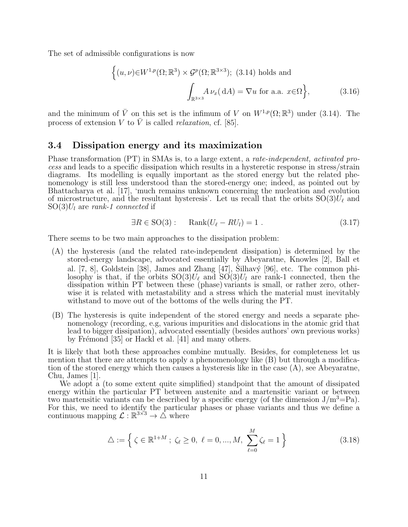The set of admissible configurations is now

$$
\left\{ (u,\nu) \in W^{1,p}(\Omega; \mathbb{R}^3) \times \mathcal{G}^p(\Omega; \mathbb{R}^{3 \times 3}); (3.14) \text{ holds and} \right\}
$$

$$
\int_{\mathbb{R}^{3 \times 3}} A \nu_x(\mathrm{d}A) = \nabla u \text{ for a.a. } x \in \Omega \right\},
$$
(3.16)

and the minimum of  $\bar{V}$  on this set is the infimum of V on  $W^{1,p}(\Omega;\mathbb{R}^3)$  under (3.14). The process of extension V to  $\overline{V}$  is called *relaxation*, cf. [85].

### 3.4 Dissipation energy and its maximization

Phase transformation (PT) in SMAs is, to a large extent, a rate-independent, activated process and leads to a specific dissipation which results in a hysteretic response in stress/strain diagrams. Its modelling is equally important as the stored energy but the related phenomenology is still less understood than the stored-energy one; indeed, as pointed out by Bhattacharya et al. [17], 'much remains unknown concerning the nucleation and evolution of microstructure, and the resultant hysteresis'. Let us recall that the orbits  $SO(3)U_{\ell}$  and  $SO(3)U_l$  are rank-1 connected if

$$
\exists R \in \text{SO}(3): \quad \text{Rank}(U_\ell - RU_l) = 1. \tag{3.17}
$$

There seems to be two main approaches to the dissipation problem:

- (A) the hysteresis (and the related rate-independent dissipation) is determined by the stored-energy landscape, advocated essentially by Abeyaratne, Knowles [2], Ball et al.  $[7, 8]$ , Goldstein [38], James and Zhang  $[47]$ , Silhavý [96], etc. The common philosophy is that, if the orbits  $SO(3)U_{\ell}$  and  $SO(3)U_{l}$  are rank-1 connected, then the dissipation within PT between these (phase) variants is small, or rather zero, otherwise it is related with metastability and a stress which the material must inevitably withstand to move out of the bottoms of the wells during the PT.
- (B) The hysteresis is quite independent of the stored energy and needs a separate phenomenology (recording, e.g, various impurities and dislocations in the atomic grid that lead to bigger dissipation), advocated essentially (besides authors' own previous works) by Frémond  $[35]$  or Hackl et al.  $[41]$  and many others.

It is likely that both these approaches combine mutually. Besides, for completeness let us mention that there are attempts to apply a phenomenology like (B) but through a modification of the stored energy which then causes a hysteresis like in the case (A), see Abeyaratne, Chu, James [1].

We adopt a (to some extent quite simplified) standpoint that the amount of dissipated energy within the particular PT between austenite and a martensitic variant or between two martensitic variants can be described by a specific energy (of the dimension  $J/m^3=Pa$ ). For this, we need to identify the particular phases or phase variants and thus we define a continuous mapping  $\mathcal{L}: \mathbb{R}^{3\times 3} \to \triangle$  where

$$
\triangle := \left\{ \zeta \in \mathbb{R}^{1+M} \; ; \; \zeta_{\ell} \ge 0, \; \ell = 0, ..., M, \; \sum_{\ell=0}^{M} \zeta_{\ell} = 1 \right\}
$$
 (3.18)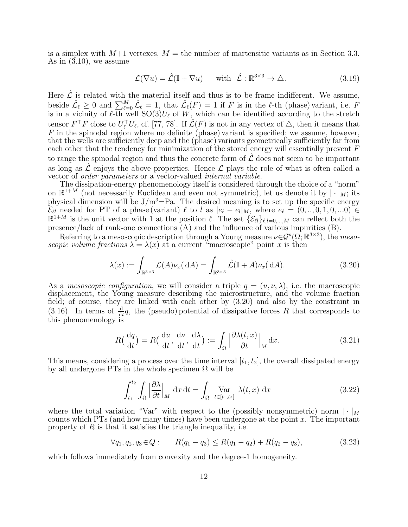is a simplex with  $M+1$  vertexes,  $M =$  the number of martensitic variants as in Section 3.3. As in (3.10), we assume

$$
\mathcal{L}(\nabla u) = \hat{\mathcal{L}}(\mathbb{I} + \nabla u) \quad \text{with } \hat{\mathcal{L}} : \mathbb{R}^{3 \times 3} \to \Delta. \tag{3.19}
$$

Here  $\hat{\mathcal{L}}$  is related with the material itself and thus is to be frame indifferent. We assume, beside  $\hat{\mathcal{L}}_{\ell} \geq 0$  and  $\sum_{\ell=0}^{M} \hat{\mathcal{L}}_{\ell} = 1$ , that  $\hat{\mathcal{L}}_{\ell}(F) = 1$  if F is in the  $\ell$ -th (phase) variant, i.e. F is in a vicinity of  $\ell$ -th well  $SO(3)U_{\ell}$  of W, which can be identified according to the stretch tensor  $F^{\top}F$  close to  $U_{\ell}^{\top}U_{\ell}$ , cf. [77, 78]. If  $\mathcal{L}(F)$  is not in any vertex of  $\triangle$ , then it means that  $F$  in the spinodal region where no definite (phase) variant is specified; we assume, however, that the wells are sufficiently deep and the (phase) variants geometrically sufficiently far from each other that the tendency for minimization of the stored energy will essentially prevent F to range the spinodal region and thus the concrete form of  $\mathcal L$  does not seem to be important as long as  $\mathcal L$  enjoys the above properties. Hence  $\mathcal L$  plays the role of what is often called a vector of order parameters or a vector-valued internal variable.

The dissipation-energy phenomenology itself is considered through the choice of a "norm" on  $\mathbb{R}^{1+M}$  (not necessarily Euclidean and even not symmetric), let us denote it by  $|\cdot|_M$ ; its physical dimension will be  $J/m^3 = Pa$ . The desired meaning is to set up the specific energy  $\mathcal{E}_{\ell l}$  needed for PT of a phase (variant)  $\ell$  to l as  $|e_{\ell} - e_l|_M$ , where  $e_{\ell} = (0, ..., 0, 1, 0, ...0) \in$  $\mathbb{R}^{1+M}$  is the unit vector with 1 at the position  $\ell$ . The set  $\{\mathcal{E}_{\ell l}\}_{\ell,l=0,\ldots,M}$  can reflect both the presence/lack of rank-one connections (A) and the influence of various impurities (B).

Referring to a mesoscopic description through a Young measure  $\nu \in \mathcal{G}^p(\Omega;\mathbb{R}^{3\times 3})$ , the mesoscopic volume fractions  $\lambda = \lambda(x)$  at a current "macroscopic" point x is then

$$
\lambda(x) := \int_{\mathbb{R}^{3 \times 3}} \mathcal{L}(A) \nu_x(\mathrm{d}A) = \int_{\mathbb{R}^{3 \times 3}} \hat{\mathcal{L}}(\mathbb{I} + A) \nu_x(\mathrm{d}A). \tag{3.20}
$$

As a *mesoscopic configuration*, we will consider a triple  $q = (u, v, \lambda)$ , i.e. the macroscopic displacement, the Young measure describing the microstructure, and the volume fraction field; of course, they are linked with each other by (3.20) and also by the constraint in (3.16). In terms of  $\frac{d}{dt}q$ , the (pseudo) potential of dissipative forces R that corresponds to this phenomenology is

$$
R\left(\frac{dq}{dt}\right) = R\left(\frac{du}{dt}, \frac{d\nu}{dt}, \frac{d\lambda}{dt}\right) := \int_{\Omega} \left|\frac{\partial \lambda(t, x)}{\partial t}\right|_{M} dx.
$$
 (3.21)

This means, considering a process over the time interval  $[t_1, t_2]$ , the overall dissipated energy by all undergone PTs in the whole specimen  $\Omega$  will be

$$
\int_{t_1}^{t_2} \int_{\Omega} \left| \frac{\partial \lambda}{\partial t} \right|_{M} dx dt = \int_{\Omega} \max_{t \in [t_1, t_2]} \lambda(t, x) dx \tag{3.22}
$$

where the total variation "Var" with respect to the (possibly nonsymmetric) norm  $|\cdot|_M$ counts which PTs (and how many times) have been undergone at the point  $x$ . The important property of  $R$  is that it satisfies the triangle inequality, i.e.

$$
\forall q_1, q_2, q_3 \in Q: \qquad R(q_1 - q_3) \le R(q_1 - q_2) + R(q_2 - q_3), \tag{3.23}
$$

which follows immediately from convexity and the degree-1 homogeneity.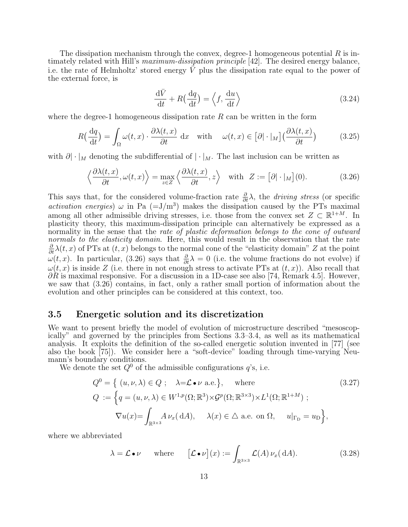The dissipation mechanism through the convex, degree-1 homogeneous potential  $R$  is intimately related with Hill's *maximum-dissipation principle* [42]. The desired energy balance, i.e. the rate of Helmholtz' stored energy  $\overline{V}$  plus the dissipation rate equal to the power of the external force, is

$$
\frac{\mathrm{d}\bar{V}}{\mathrm{d}t} + R\left(\frac{\mathrm{d}q}{\mathrm{d}t}\right) = \left\langle f, \frac{\mathrm{d}u}{\mathrm{d}t} \right\rangle \tag{3.24}
$$

where the degree-1 homogeneous dissipation rate  $R$  can be written in the form

$$
R\left(\frac{dq}{dt}\right) = \int_{\Omega} \omega(t, x) \cdot \frac{\partial \lambda(t, x)}{\partial t} dx \quad \text{with} \quad \omega(t, x) \in [\partial] \cdot |_{M}] \left(\frac{\partial \lambda(t, x)}{\partial t}\right) \tag{3.25}
$$

with  $\partial |\cdot|_M$  denoting the subdifferential of  $|\cdot|_M$ . The last inclusion can be written as

$$
\left\langle \frac{\partial \lambda(t, x)}{\partial t}, \omega(t, x) \right\rangle = \max_{z \in Z} \left\langle \frac{\partial \lambda(t, x)}{\partial t}, z \right\rangle \quad \text{with} \quad Z := \left[ \partial | \cdot |_{M} \right] (0). \tag{3.26}
$$

This says that, for the considered volume-fraction rate  $\frac{\partial}{\partial t}\lambda$ , the *driving stress* (or specific *activation energies*)  $\omega$  in Pa  $(=J/m^3)$  makes the dissipation caused by the PTs maximal among all other admissible driving stresses, i.e. those from the convex set  $Z \subset \mathbb{R}^{1+M}$ . In plasticity theory, this maximum-dissipation principle can alternatively be expressed as a normality in the sense that the rate of plastic deformation belongs to the cone of outward normals to the elasticity domain. Here, this would result in the observation that the rate  $\frac{\partial}{\partial t}\lambda(t, x)$  of PTs at  $(t, x)$  belongs to the normal cone of the "elasticity domain" Z at the point  $\omega(t, x)$ . In particular, (3.26) says that  $\frac{\partial}{\partial t}\lambda = 0$  (i.e. the volume fractions do not evolve) if  $\omega(t, x)$  is inside Z (i.e. there in not enough stress to activate PTs at  $(t, x)$ ). Also recall that  $\partial R$  is maximal responsive. For a discussion in a 1D-case see also [74, Remark 4.5]. However, we saw that (3.26) contains, in fact, only a rather small portion of information about the evolution and other principles can be considered at this context, too.

### 3.5 Energetic solution and its discretization

We want to present briefly the model of evolution of microstructure described "mesoscopically" and governed by the principles from Sections 3.3–3.4, as well as its mathematical analysis. It exploits the definition of the so-called energetic solution invented in [77] (see also the book [75]). We consider here a "soft-device" loading through time-varying Neumann's boundary conditions.

We denote the set  $Q^0$  of the admissible configurations  $q$ 's, i.e.

$$
Q^{0} = \{ (u, \nu, \lambda) \in Q ; \quad \lambda = \mathcal{L} \bullet \nu \text{ a.e.} \}, \quad \text{where}
$$
  
\n
$$
Q := \left\{ q = (u, \nu, \lambda) \in W^{1, p}(\Omega; \mathbb{R}^{3}) \times \mathcal{G}^{p}(\Omega; \mathbb{R}^{3 \times 3}) \times L^{1}(\Omega; \mathbb{R}^{1+M}) ; \right\}
$$
  
\n
$$
\nabla u(x) = \int_{\mathbb{R}^{3 \times 3}} A \nu_{x}(dA), \quad \lambda(x) \in \Delta \text{ a.e. on } \Omega, \quad u|_{\Gamma_{\text{D}}} = u_{\text{D}} \right\},
$$
\n(3.27)

where we abbreviated

$$
\lambda = \mathcal{L} \bullet \nu \qquad \text{where} \qquad [\mathcal{L} \bullet \nu](x) := \int_{\mathbb{R}^{3 \times 3}} \mathcal{L}(A) \nu_x(\mathrm{d}A). \tag{3.28}
$$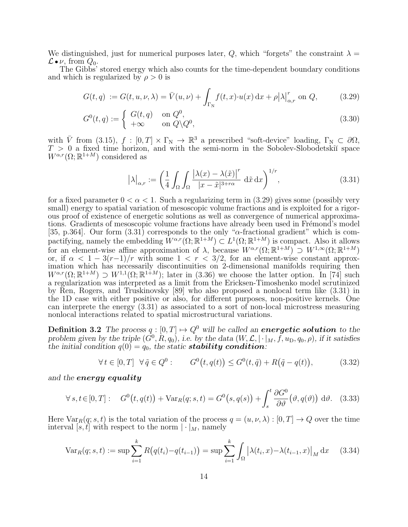We distinguished, just for numerical purposes later, Q, which "forgets" the constraint  $\lambda =$  $\mathcal{L} \bullet \nu$ , from  $Q_0$ .

The Gibbs' stored energy which also counts for the time-dependent boundary conditions and which is regularized by  $\rho > 0$  is

$$
G(t,q) := G(t,u,\nu,\lambda) = \bar{V}(u,\nu) + \int_{\Gamma_{\rm N}} f(t,x) \cdot u(x) \, \mathrm{d}x + \rho |\lambda|_{\alpha,r}^r \text{ on } Q,\tag{3.29}
$$

$$
G^{0}(t,q) := \begin{cases} G(t,q) & \text{on } Q^{0}, \\ +\infty & \text{on } Q \backslash Q^{0}, \end{cases}
$$
\n(3.30)

with  $\overline{V}$  from (3.15),  $f : [0, T] \times \Gamma_N \to \mathbb{R}^3$  a prescribed "soft-device" loading,  $\Gamma_N \subset \partial\Omega$ ,  $T > 0$  a fixed time horizon, and with the semi-norm in the Sobolev-Slobodetskii space  $W^{\alpha,r}(\Omega;\mathbb{R}^{1+M})$  considered as

$$
\left|\lambda\right|_{\alpha,r} := \left(\frac{1}{4} \int_{\Omega} \int_{\Omega} \frac{\left|\lambda(x) - \lambda(\tilde{x})\right|^{r}}{|x - \tilde{x}|^{3+r\alpha}} d\tilde{x} dx\right)^{1/r},\tag{3.31}
$$

for a fixed parameter  $0 < \alpha < 1$ . Such a regularizing term in (3.29) gives some (possibly very small) energy to spatial variation of mesoscopic volume fractions and is exploited for a rigorous proof of existence of energetic solutions as well as convergence of numerical approximations. Gradients of mesoscopic volume fractions have already been used in Frémond's model [35, p.364]. Our form  $(3.31)$  corresponds to the only " $\alpha$ -fractional gradient" which is compactifying, namely the embedding  $W^{\alpha,r}(\Omega;\mathbb{R}^{1+M}) \subset L^1(\Omega;\mathbb{R}^{1+M})$  is compact. Also it allows for an element-wise affine approximation of  $\lambda$ , because  $W^{\alpha,r}(\Omega;\mathbb{R}^{1+M}) \supset W^{1,\infty}(\Omega;\mathbb{R}^{1+M})$ or, if  $\alpha < 1 - 3(r-1)/r$  with some  $1 < r < 3/2$ , for an element-wise constant approximation which has necessarily discontinuities on 2-dimensional manifolds requiring then  $W^{\alpha,r}(\Omega;\mathbb{R}^{1+M}) \supset W^{1,1}(\Omega;\mathbb{R}^{1+M});$  later in (3.36) we choose the latter option. In [74] such a regularization was interpreted as a limit from the Ericksen-Timoshenko model scrutinized by Ren, Rogers, and Truskinovsky [89] who also proposed a nonlocal term like (3.31) in the 1D case with either positive or also, for different purposes, non-positive kernels. One can interprete the energy (3.31) as associated to a sort of non-local microstress measuring nonlocal interactions related to spatial microstructural variations.

**Definition 3.2** The process  $q : [0, T] \rightarrow Q^0$  will be called an **energetic solution** to the problem given by the triple  $(G^0, R, q_0)$ , i.e. by the data  $(W, \mathcal{L}, [\cdot|_M, f, u_D, q_0, \rho)$ , if it satisfies the initial condition  $q(0) = q_0$ , the static **stability condition**:

$$
\forall t \in [0, T] \quad \forall \tilde{q} \in Q^0: \qquad G^0(t, q(t)) \le G^0(t, \tilde{q}) + R(\tilde{q} - q(t)), \tag{3.32}
$$

and the energy equality

$$
\forall s, t \in [0, T]: \quad G^0(t, q(t)) + \text{Var}_R(q; s, t) = G^0(s, q(s)) + \int_s^t \frac{\partial G^0}{\partial \vartheta}(\vartheta, q(\vartheta)) d\vartheta. \tag{3.33}
$$

Here  $\text{Var}_R(q; s, t)$  is the total variation of the process  $q = (u, v, \lambda) : [0, T] \to Q$  over the time interval [s, t] with respect to the norm  $|\cdot|_M$ , namely

$$
\text{Var}_R(q; s, t) := \sup \sum_{i=1}^k R\big(q(t_i) - q(t_{i-1})\big) = \sup \sum_{i=1}^k \int_{\Omega} \big|\lambda(t_i, x) - \lambda(t_{i-1}, x)\big|_M \, \mathrm{d}x \tag{3.34}
$$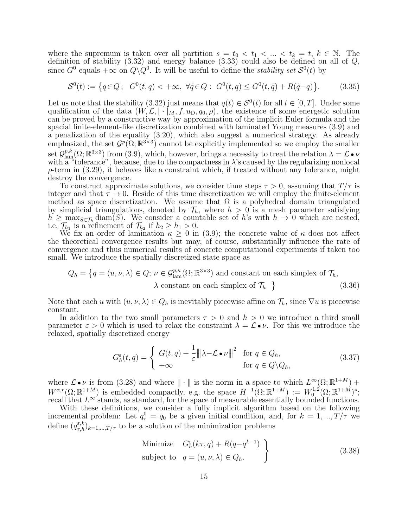where the supremum is taken over all partition  $s = t_0 < t_1 < ... < t_k = t, k \in \mathbb{N}$ . The definition of stability (3.32) and energy balance (3.33) could also be defined on all of Q, since  $G^0$  equals  $+\infty$  on  $Q\backslash Q^0$ . It will be useful to define the *stability set*  $S^0(t)$  by

$$
S^{0}(t) := \left\{ q \in Q; \ G^{0}(t,q) < +\infty, \ \forall \tilde{q} \in Q: \ G^{0}(t,q) \leq G^{0}(t,\tilde{q}) + R(\tilde{q}-q) \right\}.
$$
 (3.35)

Let us note that the stability (3.32) just means that  $q(t) \in S^0(t)$  for all  $t \in [0, T]$ . Under some qualification of the data  $(W, \mathcal{L}, \vert \cdot \vert_M, f, u_D, q_0, \rho)$ , the existence of some energetic solution can be proved by a constructive way by approximation of the implicit Euler formula and the spacial finite-element-like discretization combined with laminated Young measures (3.9) and a penalization of the equality (3.20), which also suggest a numerical strategy. As already emphasized, the set  $\mathcal{G}^p(\Omega;\mathbb{R}^{3\times 3})$  cannot be explicitly implemented so we employ the smaller set  $\mathcal{G}^{p,k}_{\text{lam}}(\Omega;\mathbb{R}^{3\times3})$  from (3.9), which, however, brings a necessity to treat the relation  $\lambda=\mathcal{L}\bullet\nu$ with a "tolerance", because, due to the compactness in  $\lambda$ 's caused by the regularizing nonlocal  $\rho$ -term in (3.29), it behaves like a constraint which, if treated without any tolerance, might destroy the convergence.

To construct approximate solutions, we consider time steps  $\tau > 0$ , assuming that  $T/\tau$  is integer and that  $\tau \to 0$ . Beside of this time discretization we will employ the finite-element method as space discretization. We assume that  $\Omega$  is a polyhedral domain triangulated by simplicial triangulations, denoted by  $\mathcal{T}_h$ , where  $h > 0$  is a mesh parameter satisfying  $h \geq \max_{S \in \mathcal{T}_h} \text{diam}(S)$ . We consider a countable set of h's with  $h \to 0$  which are nested, i.e.  $\mathcal{T}_{h_1}$  is a refinement of  $\mathcal{T}_{h_2}$  if  $h_2 \geq h_1 > 0$ .

We fix an order of lamination  $\kappa \geq 0$  in (3.9); the concrete value of  $\kappa$  does not affect the theoretical convergence results but may, of course, substantially influence the rate of convergence and thus numerical results of concrete computational experiments if taken too small. We introduce the spatially discretized state space as

$$
Q_h = \left\{ q = (u, \nu, \lambda) \in Q; \, \nu \in \mathcal{G}_{\text{lam}}^{p,\kappa}(\Omega; \mathbb{R}^{3 \times 3}) \text{ and constant on each simplex of } \mathcal{T}_h, \lambda \text{ constant on each simplex of } \mathcal{T}_h \right\}
$$
\n(3.36)

Note that each u with  $(u, v, \lambda) \in Q_h$  is inevitably piecewise affine on  $\mathcal{T}_h$ , since  $\nabla u$  is piecewise constant.

In addition to the two small parameters  $\tau > 0$  and  $h > 0$  we introduce a third small parameter  $\varepsilon > 0$  which is used to relax the constraint  $\lambda = \mathcal{L} \cdot \nu$ . For this we introduce the relaxed, spatially discretized energy

$$
G_h^{\varepsilon}(t,q) = \begin{cases} G(t,q) + \frac{1}{\varepsilon} ||\lambda - \mathcal{L} \bullet \nu||^2 & \text{for } q \in Q_h, \\ +\infty & \text{for } q \in Q \backslash Q_h, \end{cases}
$$
(3.37)

where  $\mathcal{L} \bullet \nu$  is from (3.28) and where  $|| \cdot ||$  is the norm in a space to which  $L^{\infty}(\Omega;\mathbb{R}^{1+M})$  +  $W^{\alpha,r}(\Omega;\mathbb{R}^{1+M})$  is embedded compactly, e.g. the space  $H^{-1}(\Omega;\mathbb{R}^{1+M}) := W_0^{1,2}$  $\mathbb{C}^{1,2}_0(\Omega;\mathbb{R}^{1+M})^*;$ recall that  $L^{\infty}$  stands, as standard, for the space of measurable essentially bounded functions.

With these definitions, we consider a fully implicit algorithm based on the following incremental problem: Let  $q_{\tau}^0 = q_0$  be a given initial condition, and, for  $k = 1, ..., T/\tau$  we define  $(q_{\tau,h}^{\varepsilon,k})_{k=1,\dots,T/\tau}$  to be a solution of the minimization problems

Minimize 
$$
G_h^{\varepsilon}(k\tau, q) + R(q - q^{k-1})
$$
  
subject to  $q = (u, \nu, \lambda) \in Q_h$ . (3.38)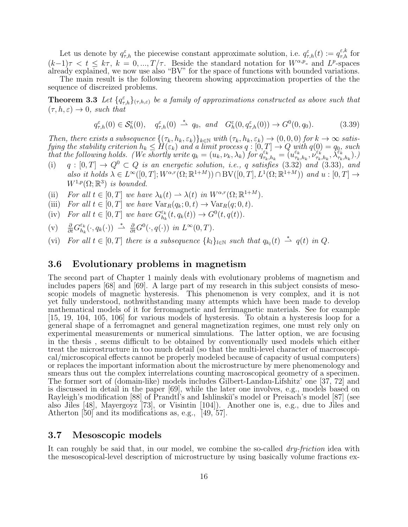Let us denote by  $q_{\tau,h}^{\varepsilon}$  the piecewise constant approximate solution, i.e.  $q_{\tau,h}^{\varepsilon}(t) := q_{\tau,h}^{\varepsilon,k}$  for  $(k-1)\tau < t \leq k\tau$ ,  $k = 0, ..., T/\tau$ . Beside the standard notation for  $W^{\alpha,p}$ - and  $L^p$ -spaces already explained, we now use also "BV" for the space of functions with bounded variations.

The main result is the following theorem showing approximation properties of the the sequence of discreized problems.

**Theorem 3.3** Let  $\{q_{\tau,h}^{\varepsilon}\}_{(\tau,h,\varepsilon)}$  be a family of approximations constructed as above such that  $(\tau, h, \varepsilon) \rightarrow 0$ , such that

$$
q_{\tau,h}^{\varepsilon}(0) \in \mathcal{S}_{h}^{\varepsilon}(0), \quad q_{\tau,h}^{\varepsilon}(0) \stackrel{*}{\rightharpoonup} q_0, \text{ and } G_{h}^{\varepsilon}(0, q_{\tau,h}^{\varepsilon}(0)) \to G^{0}(0, q_0). \tag{3.39}
$$

Then, there exists a subsequence  $\{(\tau_k, h_k, \varepsilon_k)\}_{k\in\mathbb{N}}$  with  $(\tau_k, h_k, \varepsilon_k) \to (0, 0, 0)$  for  $k \to \infty$  satisfying the stability criterion  $h_k \leq \tilde{H}(\varepsilon_k)$  and a limit process  $q:[0,T] \to Q$  with  $q(0)=q_0,$  such that the following holds. (We shortly write  $q_k = (u_k, \nu_k, \lambda_k)$  for  $q_{\tau_k}^{\varepsilon_k}$  $\begin{array}{c} \varepsilon_k^{-1} \ \tau_k,h_k = (u^{\varepsilon_k}_{\tau_k}) \end{array}$  $\frac{\varepsilon_k}{\tau_k,h_k}, \nu_{\tau_k}^{\varepsilon_k}$  $(\bar{\varepsilon}_k^{\vec{\varepsilon}}_{\tau_k,h_k},\bar{\lambda}^{\vec{\varepsilon}_k}_{\tau_k,h_k}).)$ 

- (i)  $q : [0, T] \rightarrow Q^0 \subset Q$  is an energetic solution, i.e., q satisfies (3.32) and (3.33), and also it holds  $\lambda \in L^{\infty}([0,T]; W^{\alpha,r}(\Omega;\mathbb{R}^{1+M})) \cap BV([0,T], L^{1}(\Omega;\mathbb{R}^{1+M}))$  and  $u:[0,T] \rightarrow$  $W^{1,p}(\Omega;\mathbb{R}^3)$  is bounded.
- (ii) For all  $t \in [0, T]$  we have  $\lambda_k(t) \to \lambda(t)$  in  $W^{\alpha, r}(\Omega; \mathbb{R}^{1+M})$ .
- (iii) For all  $t \in [0, T]$  we have  $\text{Var}_R(q_k; 0, t) \to \text{Var}_R(q; 0, t)$ .
- (iv) For all  $t \in [0, T]$  we have  $G_{h_i}^{\varepsilon_k}$  $\frac{\varepsilon_k}{h_k}(t, q_k(t)) \to G^0(t, q(t)).$

(v) 
$$
\frac{\partial}{\partial t} G_{h_k}^{\varepsilon_k}(\cdot, q_k(\cdot)) \stackrel{*}{\rightharpoonup} \frac{\partial}{\partial t} G^0(\cdot, q(\cdot))
$$
 in  $L^{\infty}(0, T)$ .

(vi) For all  $t \in [0, T]$  there is a subsequence  $\{k_l\}_{l \in \mathbb{N}}$  such that  $q_{k_l}(t) \stackrel{*}{\rightharpoonup} q(t)$  in  $Q$ .

#### 3.6 Evolutionary problems in magnetism

The second part of Chapter 1 mainly deals with evolutionary problems of magnetism and includes papers [68] and [69]. A large part of my research in this subject consists of mesoscopic models of magnetic hysteresis. This phenomenon is very complex, and it is not yet fully understood, nothwithstanding many attempts which have been made to develop mathematical models of it for ferromagnetic and ferrimagnetic materials. See for example [15, 19, 104, 105, 106] for various models of hysteresis. To obtain a hysteresis loop for a general shape of a ferromagnet and general magnetization regimes, one must rely only on experimental measurements or numerical simulations. The latter option, we are focusing in the thesis , seems difficult to be obtained by conventionally used models which either treat the microstructure in too much detail (so that the multi-level character of macroscopical/microscopical effects cannot be properly modeled because of capacity of usual computers) or replaces the important information about the microstructure by mere phenomenology and smears thus out the complex interrelations counting macroscopical geometry of a specimen. The former sort of (domain-like) models includes Gilbert-Landau-Lifshitz' one [37, 72] and is discussed in detail in the paper [69], while the later one involves, e.g., models based on Rayleigh's modification [88] of Prandtl's and Ishlinskii's model or Preisach's model [87] (see also Jiles [48], Mayergoyz [73], or Visintin [104]). Another one is, e.g., due to Jiles and Atherton [50] and its modifications as, e.g., [49, 57].

#### 3.7 Mesoscopic models

It can roughly be said that, in our model, we combine the so-called *dry-friction* idea with the mesoscopical-level description of microstructure by using basically volume fractions ex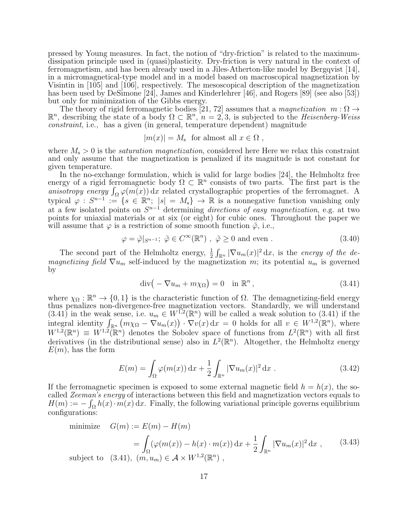pressed by Young measures. In fact, the notion of "dry-friction" is related to the maximumdissipation principle used in (quasi)plasticity. Dry-friction is very natural in the context of ferromagnetism, and has been already used in a Jiles-Atherton-like model by Bergqvist [14], in a micromagnetical-type model and in a model based on macroscopical magnetization by Visintin in [105] and [106], respectively. The mesoscopical description of the magnetization has been used by DeSimone [24], James and Kinderlehrer [46], and Rogers [89] (see also [53]) but only for minimization of the Gibbs energy.

The theory of rigid ferromagnetic bodies [21, 72] assumes that a *magnetization*  $m : \Omega \rightarrow$  $\mathbb{R}^n$ , describing the state of a body  $\Omega \subset \mathbb{R}^n$ ,  $n = 2, 3$ , is subjected to the *Heisenberg-Weiss* constraint, i.e., has a given (in general, temperature dependent) magnitude

$$
|m(x)| = M_s \text{ for almost all } x \in \Omega ,
$$

where  $M_s > 0$  is the *saturation magnetization*, considered here Here we relax this constraint and only assume that the magnetization is penalized if its magnitude is not constant for given temperature.

In the no-exchange formulation, which is valid for large bodies [24], the Helmholtz free energy of a rigid ferromagnetic body  $\Omega \subset \mathbb{R}^n$  consists of two parts. The first part is the anisotropy energy  $\int_{\Omega} \varphi(m(x)) dx$  related crystallographic properties of the ferromagnet. A typical  $\varphi : S^{n-1} := \{ s \in \mathbb{R}^n ; |s| = M_s \} \to \mathbb{R}$  is a nonnegative function vanishing only at a few isolated points on  $S^{n-1}$  determining directions of easy magnetization, e.g. at two points for uniaxial materials or at six (or eight) for cubic ones. Throughout the paper we will assume that  $\varphi$  is a restriction of some smooth function  $\tilde{\varphi}$ , i.e.,

$$
\varphi = \tilde{\varphi}|_{S^{n-1}}; \ \tilde{\varphi} \in C^{\infty}(\mathbb{R}^n) , \ \tilde{\varphi} \ge 0 \text{ and even } .
$$
 (3.40)

The second part of the Helmholtz energy,  $\frac{1}{2} \int_{\mathbb{R}^n} |\nabla u_m(x)|^2 dx$ , is the energy of the demagnetizing field  $\nabla u_m$  self-induced by the magnetization m; its potential  $u_m$  is governed by

$$
\operatorname{div}\left(-\nabla u_m + m\chi_{\Omega}\right) = 0 \quad \text{in } \mathbb{R}^n, \tag{3.41}
$$

where  $\chi_{\Omega}: \mathbb{R}^n \to \{0, 1\}$  is the characteristic function of  $\Omega$ . The demagnetizing-field energy thus penalizes non-divergence-free magnetization vectors. Standardly, we will understand  $(3.41)$  in the weak sense, i.e.  $u_m \in W^{1,2}(\mathbb{R}^n)$  will be called a weak solution to  $(3.41)$  if the integral identity  $\int_{\mathbb{R}^n} (m \chi_{\Omega} - \nabla u_m(x)) \cdot \nabla v(x) dx = 0$  holds for all  $v \in W^{1,2}(\mathbb{R}^n)$ , where  $W^{1,2}(\mathbb{R}^n) \equiv W^{1,2}(\mathbb{R}^n)$  denotes the Sobolev space of functions from  $L^2(\mathbb{R}^n)$  with all first derivatives (in the distributional sense) also in  $L^2(\mathbb{R}^n)$ . Altogether, the Helmholtz energy  $E(m)$ , has the form

$$
E(m) = \int_{\Omega} \varphi(m(x)) dx + \frac{1}{2} \int_{\mathbb{R}^n} |\nabla u_m(x)|^2 dx . \qquad (3.42)
$$

If the ferromagnetic specimen is exposed to some external magnetic field  $h = h(x)$ , the socalled Zeeman's energy of interactions between this field and magnetization vectors equals to  $H(m) := -\int_{\Omega} h(x) \cdot m(x) dx$ . Finally, the following variational principle governs equilibrium configurations:

minimize 
$$
G(m) := E(m) - H(m)
$$
  
\n
$$
= \int_{\Omega} (\varphi(m(x)) - h(x) \cdot m(x)) dx + \frac{1}{2} \int_{\mathbb{R}^n} |\nabla u_m(x)|^2 dx , \qquad (3.43)
$$
\nsubject to  $(3.41), (m, u_m) \in \mathcal{A} \times W^{1,2}(\mathbb{R}^n)$ ,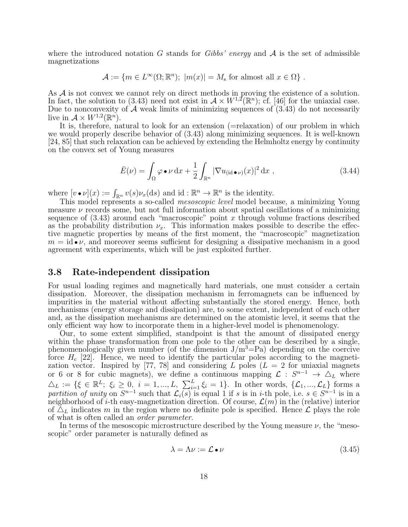where the introduced notation G stands for Gibbs' energy and  $A$  is the set of admissible magnetizations

$$
\mathcal{A} := \{ m \in L^{\infty}(\Omega; \mathbb{R}^n); \ |m(x)| = M_{\rm s} \text{ for almost all } x \in \Omega \} .
$$

As  $\mathcal A$  is not convex we cannot rely on direct methods in proving the existence of a solution. In fact, the solution to (3.43) need not exist in  $A \times W^{1,2}(\mathbb{R}^n)$ ; cf. [46] for the uniaxial case. Due to nonconvexity of  $A$  weak limits of minimizing sequences of  $(3.43)$  do not necessarily live in  $\mathcal{A} \times W^{1,2}(\mathbb{R}^n)$ .

It is, therefore, natural to look for an extension  $(=relaxation)$  of our problem in which we would properly describe behavior of (3.43) along minimizing sequences. It is well-known [24, 85] that such relaxation can be achieved by extending the Helmholtz energy by continuity on the convex set of Young measures

$$
\bar{E}(\nu) = \int_{\Omega} \varphi \bullet \nu \, dx + \frac{1}{2} \int_{\mathbb{R}^n} |\nabla u_{(\text{id}\bullet\nu)}(x)|^2 \, dx \;, \tag{3.44}
$$

where  $[v \bullet \nu](x) := \int_{\mathbb{R}^n} v(s) \nu_x(ds)$  and  $id : \mathbb{R}^n \to \mathbb{R}^n$  is the identity.

This model represents a so-called *mesoscopic level* model because, a minimizing Young measure  $\nu$  records some, but not full information about spatial oscillations of a minimizing sequence of  $(3.43)$  around each "macroscopic" point x through volume fractions described as the probability distribution  $\nu_x$ . This information makes possible to describe the effective magnetic properties by means of the first moment, the "macroscopic" magnetization  $m = id \bullet \nu$ , and moreover seems sufficient for designing a dissipative mechanism in a good agreement with experiments, which will be just exploited further.

### 3.8 Rate-independent dissipation

For usual loading regimes and magnetically hard materials, one must consider a certain dissipation. Moreover, the dissipation mechanism in ferromagnets can be influenced by impurities in the material without affecting substantially the stored energy. Hence, both mechanisms (energy storage and dissipation) are, to some extent, independent of each other and, as the dissipation mechanisms are determined on the atomistic level, it seems that the only efficient way how to incorporate them in a higher-level model is phenomenology.

Our, to some extent simplified, standpoint is that the amount of dissipated energy within the phase transformation from one pole to the other can be described by a single, phenomenologically given number (of the dimension  $J/m<sup>3</sup>=Pa$ ) depending on the coercive force  $H_c$  [22]. Hence, we need to identify the particular poles according to the magnetization vector. Inspired by [77, 78] and considering L poles  $(L = 2$  for uniaxial magnets or 6 or 8 for cubic magnets), we define a continuous mapping  $\mathcal{L}: S^{n-1} \to \Delta_L$  where  $\Delta_L := \{ \xi \in \mathbb{R}^L; \xi_i \geq 0, i = 1, ..., L, \sum_{i=1}^L \xi_i = 1 \}.$  In other words,  $\{ \mathcal{L}_1, ..., \mathcal{L}_L \}$  forms a partition of unity on  $S^{n-1}$  such that  $\mathcal{L}_i(s)$  is equal 1 if s is in i-th pole, i.e.  $s \in S^{n-1}$  is in a neighborhood of i-th easy-magnetization direction. Of course,  $\mathcal{L}(m)$  in the (relative) interior of  $\Delta_L$  indicates m in the region where no definite pole is specified. Hence  $\mathcal L$  plays the role of what is often called an order parameter.

In terms of the mesoscopic microstructure described by the Young measure  $\nu$ , the "mesoscopic" order parameter is naturally defined as

$$
\lambda = \Lambda \nu := \mathcal{L} \bullet \nu \tag{3.45}
$$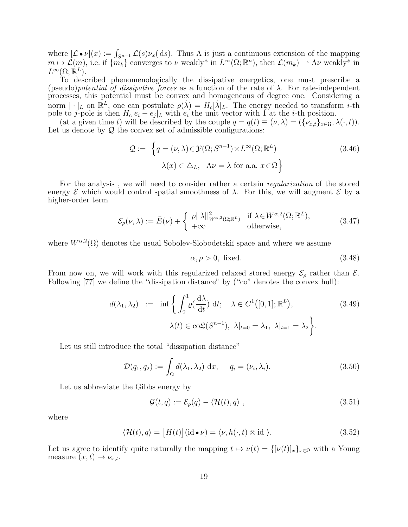where  $[\mathcal{L} \bullet \nu](x) := \int_{S^{n-1}} \mathcal{L}(s) \nu_x(ds)$ . Thus  $\Lambda$  is just a continuous extension of the mapping  $m \mapsto \mathcal{L}(m)$ , i.e. if  $\{m_k\}$  converges to  $\nu$  weakly\* in  $L^{\infty}(\Omega;\mathbb{R}^n)$ , then  $\mathcal{L}(m_k) \to \Lambda \nu$  weakly\* in  $L^{\infty}(\Omega;\mathbb{R}^L).$ 

To described phenomenologically the dissipative energetics, one must prescribe a (pseudo)*potential of dissipative forces* as a function of the rate of  $\lambda$ . For rate-independent processes, this potential must be convex and homogeneous of degree one. Considering a norm  $|\cdot|_L$  on  $\mathbb{R}^L$ , one can postulate  $\varrho(\lambda) = H_c |\lambda|_L$ . The energy needed to transform *i*-th pole to j-pole is then  $H_c|e_i - e_j|_L$  with  $e_i$  the unit vector with 1 at the *i*-th position.

(at a given time t) will be described by the couple  $q = q(t) \equiv (\nu, \lambda) = (\{\nu_{x,t}\}_{x \in \Omega}, \lambda(\cdot, t)).$ Let us denote by  $Q$  the convex set of admissible configurations:

$$
\mathcal{Q} := \left\{ q = (\nu, \lambda) \in \mathcal{Y}(\Omega; S^{n-1}) \times L^{\infty}(\Omega; \mathbb{R}^{L}) \right\}
$$
\n
$$
\lambda(x) \in \Delta_{L}, \quad \Lambda \nu = \lambda \text{ for a.a. } x \in \Omega \right\}
$$
\n(3.46)

For the analysis, we will need to consider rather a certain *regularization* of the stored energy  $\mathcal E$  which would control spatial smoothness of  $\lambda$ . For this, we will augment  $\mathcal E$  by a higher-order term

$$
\mathcal{E}_{\rho}(\nu,\lambda) := \bar{E}(\nu) + \begin{cases} \rho ||\lambda||_{W^{\alpha,2}(\Omega;\mathbb{R}^L)}^2 & \text{if } \lambda \in W^{\alpha,2}(\Omega;\mathbb{R}^L), \\ +\infty & \text{otherwise,} \end{cases}
$$
(3.47)

where  $W^{\alpha,2}(\Omega)$  denotes the usual Sobolev-Slobodetskiı̆ space and where we assume

$$
\alpha, \rho > 0, \text{ fixed.} \tag{3.48}
$$

From now on, we will work with this regularized relaxed stored energy  $\mathcal{E}_{\rho}$  rather than  $\mathcal{E}$ . Following [77] we define the "dissipation distance" by ("co" denotes the convex hull):

$$
d(\lambda_1, \lambda_2) := \inf \left\{ \int_0^1 \varrho(\frac{d\lambda}{dt}) dt; \quad \lambda \in C^1([0, 1]; \mathbb{R}^L),
$$
  

$$
\lambda(t) \in \text{co}\mathfrak{L}(S^{n-1}), \lambda|_{t=0} = \lambda_1, \lambda|_{t=1} = \lambda_2 \right\}.
$$
 (3.49)

Let us still introduce the total "dissipation distance"

$$
\mathcal{D}(q_1, q_2) := \int_{\Omega} d(\lambda_1, \lambda_2) dx, \quad q_i = (\nu_i, \lambda_i). \tag{3.50}
$$

Let us abbreviate the Gibbs energy by

$$
\mathcal{G}(t,q) := \mathcal{E}_{\rho}(q) - \langle \mathcal{H}(t), q \rangle , \qquad (3.51)
$$

where

$$
\langle \mathcal{H}(t), q \rangle = [H(t)] (\mathrm{id} \bullet \nu) = \langle \nu, h(\cdot, t) \otimes \mathrm{id} \rangle. \tag{3.52}
$$

Let us agree to identify quite naturally the mapping  $t \mapsto \nu(t) = {\{\nu(t)|_x\}}_{x \in \Omega}$  with a Young measure  $(x, t) \mapsto \nu_{x,t}$ .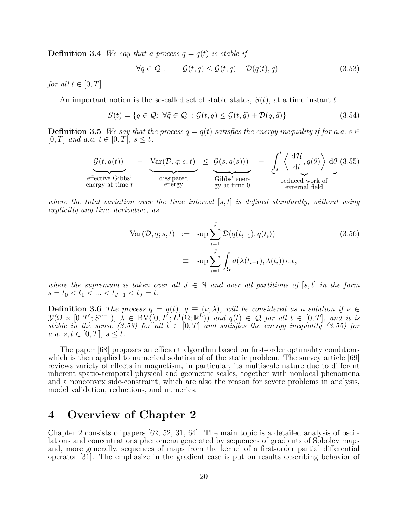**Definition 3.4** We say that a process  $q = q(t)$  is stable if

$$
\forall \tilde{q} \in \mathcal{Q} : \qquad \mathcal{G}(t, q) \le \mathcal{G}(t, \tilde{q}) + \mathcal{D}(q(t), \tilde{q}) \tag{3.53}
$$

for all  $t \in [0, T]$ .

An important notion is the so-called set of stable states,  $S(t)$ , at a time instant t

$$
S(t) = \{q \in \mathcal{Q}; \ \forall \tilde{q} \in \mathcal{Q} \ : \mathcal{G}(t,q) \leq \mathcal{G}(t,\tilde{q}) + \mathcal{D}(q,\tilde{q})\}
$$
(3.54)

**Definition 3.5** We say that the process  $q = q(t)$  satisfies the energy inequality if for a.a.  $s \in$  $[0, T]$  and a.a.  $t \in [0, T]$ ,  $s \leq t$ ,

$$
\underbrace{\mathcal{G}(t, q(t))}_{\text{effective Gibbs'}}
$$
 + 
$$
\underbrace{\text{Var}(\mathcal{D}, q; s, t)}_{\text{dissipated}}
$$
 
$$
\leq \underbrace{\mathcal{G}(s, q(s)))}_{\text{Gibbs' ener-}} - \underbrace{\int_{s}^{t} \left\langle \frac{d\mathcal{H}}{dt}, q(\theta) \right\rangle d\theta (3.55)}_{\text{reduced work ofexternal field}}
$$

where the total variation over the time interval  $[s, t]$  is defined standardly, without using explicitly any time derivative, as

$$
\begin{aligned}\n\text{Var}(\mathcal{D}, q; s, t) &:= \sup \sum_{i=1}^{J} \mathcal{D}(q(t_{i-1}), q(t_i)) \\
&= \sup \sum_{i=1}^{J} \int_{\Omega} d(\lambda(t_{i-1}), \lambda(t_i)) \, \mathrm{d}x,\n\end{aligned} \tag{3.56}
$$

where the supremum is taken over all  $J \in \mathbb{N}$  and over all partitions of [s, t] in the form  $s = t_0 < t_1 < \ldots < t_{J-1} < t_J = t$ .

**Definition 3.6** The process  $q = q(t)$ ,  $q \equiv (v, \lambda)$ , will be considered as a solution if  $v \in$  $\mathcal{Y}(\Omega \times [0,T]; S^{n-1}), \; \tilde{\lambda} \in BV([0,T]; L^{1}(\Omega;\mathbb{R}^{L})) \; \text{and} \; q(t) \, \in \, \mathcal{Q} \; \text{for all} \; t \, \in \, [0,T], \; \text{and} \; \text{it is}$ stable in the sense (3.53) for all  $t \in [0,T]$  and satisfies the energy inequality (3.55) for a.a.  $s, t \in [0, T], s \leq t$ .

The paper [68] proposes an efficient algorithm based on first-order optimality conditions which is then applied to numerical solution of of the static problem. The survey article [69] reviews variety of effects in magnetism, in particular, its multiscale nature due to different inherent spatio-temporal physical and geometric scales, together with nonlocal phenomena and a nonconvex side-constraint, which are also the reason for severe problems in analysis, model validation, reductions, and numerics.

# 4 Overview of Chapter 2

Chapter 2 consists of papers [62, 52, 31, 64]. The main topic is a detailed analysis of oscillations and concentrations phenomena generated by sequences of gradients of Sobolev maps and, more generally, sequences of maps from the kernel of a first-order partial differential operator [31]. The emphasize in the gradient case is put on results describing behavior of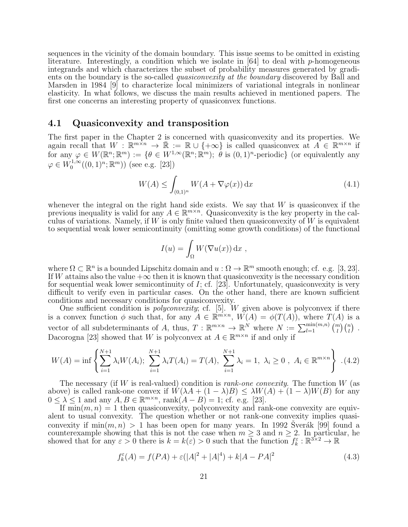sequences in the vicinity of the domain boundary. This issue seems to be omitted in existing literature. Interestingly, a condition which we isolate in  $[64]$  to deal with p-homogeneous integrands and which characterizes the subset of probability measures generated by gradients on the boundary is the so-called quasiconvexity at the boundary discovered by Ball and Marsden in 1984 [9] to characterize local minimizers of variational integrals in nonlinear elasticity. In what follows, we discuss the main results achieved in mentioned papers. The first one concerns an interesting property of quasiconvex functions.

#### 4.1 Quasiconvexity and transposition

The first paper in the Chapter 2 is concerned with quasiconvexity and its properties. We again recall that  $W : \mathbb{R}^{m \times n} \to \bar{\mathbb{R}} := \mathbb{R} \cup \{+\infty\}$  is called quasiconvex at  $A \in \mathbb{R}^{m \times n}$  if for any  $\varphi \in W(\mathbb{R}^n;\mathbb{R}^m) := \{ \theta \in W^{1,\infty}(\mathbb{R}^n;\mathbb{R}^m); \ \dot{\theta} \text{ is } (0,1)^n\text{-periodic} \}$  (or equivalently any  $\varphi \in W_0^{1,\infty}$  $\binom{1,\infty}{0}(0,1)^n; \mathbb{R}^m)$  (see e.g. [23])

$$
W(A) \le \int_{(0,1)^n} W(A + \nabla \varphi(x)) \, \mathrm{d}x \tag{4.1}
$$

whenever the integral on the right hand side exists. We say that  $W$  is quasiconvex if the previous inequality is valid for any  $A \in \mathbb{R}^{m \times n}$ . Quasiconvexity is the key property in the calculus of variations. Namely, if  $W$  is only finite valued then quasiconvexity of  $W$  is equivalent to sequential weak lower semicontinuity (omitting some growth conditions) of the functional

$$
I(u) = \int_{\Omega} W(\nabla u(x)) dx ,
$$

where  $\Omega \subset \mathbb{R}^n$  is a bounded Lipschitz domain and  $u : \Omega \to \mathbb{R}^m$  smooth enough; cf. e.g. [3, 23]. If W attains also the value  $+\infty$  then it is known that quasiconvexity is the necessary condition for sequential weak lower semicontinuity of  $I$ ; cf. [23]. Unfortunately, quasiconvexity is very difficult to verify even in particular cases. On the other hand, there are known sufficient conditions and necessary conditions for quasiconvexity.

One sufficient condition is *polyconvexity*; cf. [5]. W given above is polyconvex if there is a convex function  $\phi$  such that, for any  $A \in \mathbb{R}^{m \times n}$ ,  $W(A) = \phi(T(A))$ , where  $T(A)$  is a vector of all subdeterminants of A, thus,  $T : \mathbb{R}^{m \times n} \to \mathbb{R}^N$  where  $N := \sum_{l=1}^{\min(m,n)} {m \choose l} {n \choose l}$ . Dacorogna [23] showed that W is polyconvex at  $A \in \mathbb{R}^{m \times n}$  if and only if

$$
W(A) = \inf \left\{ \sum_{i=1}^{N+1} \lambda_i W(A_i); \sum_{i=1}^{N+1} \lambda_i T(A_i) = T(A), \sum_{i=1}^{N+1} \lambda_i = 1, \lambda_i \ge 0, A_i \in \mathbb{R}^{m \times n} \right\} . (4.2)
$$

The necessary (if W is real-valued) condition is *rank-one convexity*. The function  $W$  (as above) is called rank-one convex if  $W(\lambda A + (1 - \lambda)B) \leq \lambda W(A) + (1 - \lambda)W(B)$  for any  $0 \leq \lambda \leq 1$  and any  $A, B \in \mathbb{R}^{m \times n}$ , rank $(A - B) = 1$ ; cf. e.g. [23].

If  $\min(m, n) = 1$  then quasiconvexity, polyconvexity and rank-one convexity are equivalent to usual convexity. The question whether or not rank-one convexity implies quasiconvexity if  $\min(m, n) > 1$  has been open for many years. In 1992 Sverák [99] found a counterexample showing that this is not the case when  $m \geq 3$  and  $n \geq 2$ . In particular, he showed that for any  $\varepsilon > 0$  there is  $k = k(\varepsilon) > 0$  such that the function  $f_k^{\varepsilon} : \mathbb{R}^{3 \times 2} \to \mathbb{R}$ 

$$
f_k^{\varepsilon}(A) = f(PA) + \varepsilon(|A|^2 + |A|^4) + k|A - PA|^2
$$
\n(4.3)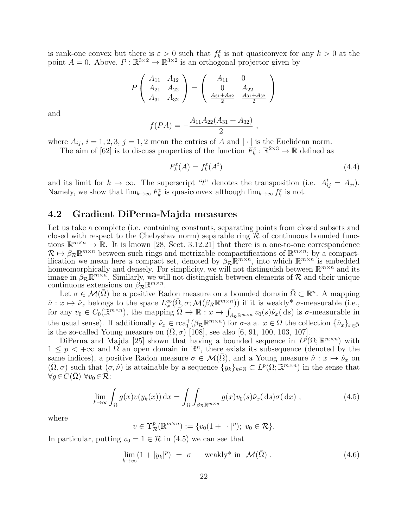is rank-one convex but there is  $\varepsilon > 0$  such that  $f_k^{\varepsilon}$  is not quasiconvex for any  $k > 0$  at the point  $A = 0$ . Above,  $P : \mathbb{R}^{3 \times 2} \to \mathbb{R}^{3 \times 2}$  is an orthogonal projector given by

$$
P\left(\begin{array}{cc} A_{11} & A_{12} \\ A_{21} & A_{22} \\ A_{31} & A_{32} \end{array}\right) = \left(\begin{array}{cc} A_{11} & 0 \\ 0 & A_{22} \\ \frac{A_{31} + A_{32}}{2} & \frac{A_{31} + A_{32}}{2} \end{array}\right)
$$

and

$$
f(PA) = -\frac{A_{11}A_{22}(A_{31} + A_{32})}{2},
$$

where  $A_{ij}$ ,  $i = 1, 2, 3, j = 1, 2$  mean the entries of A and  $|\cdot|$  is the Euclidean norm.

The aim of [62] is to discuss properties of the function  $F_k^{\varepsilon} : \mathbb{R}^{2 \times 3} \to \mathbb{R}$  defined as

$$
F_k^{\varepsilon}(A) = f_k^{\varepsilon}(A^t) \tag{4.4}
$$

and its limit for  $k \to \infty$ . The superscript "t" denotes the transposition (i.e.  $A_{ij}^t = A_{ji}$ ). Namely, we show that  $\lim_{k\to\infty} F_k^{\varepsilon}$  is quasiconvex although  $\lim_{k\to\infty} f_k^{\varepsilon}$  is not.

### 4.2 Gradient DiPerna-Majda measures

Let us take a complete (i.e. containing constants, separating points from closed subsets and closed with respect to the Chebyshev norm) separable ring  $\mathcal R$  of continuous bounded functions  $\mathbb{R}^{m \times n} \to \mathbb{R}$ . It is known [28, Sect. 3.12.21] that there is a one-to-one correspondence  $\mathcal{R} \mapsto \beta_{\mathcal{R}} \mathbb{R}^{m \times n}$  between such rings and metrizable compactifications of  $\mathbb{R}^{m \times n}$ ; by a compactification we mean here a compact set, denoted by  $\beta_{\mathcal{R}} \mathbb{R}^{m \times n}$ , into which  $\mathbb{R}^{m \times n}$  is embedded homeomorphically and densely. For simplicity, we will not distinguish between  $\mathbb{R}^{m \times n}$  and its image in  $\beta_{\mathcal{R}}\mathbb{R}^{m\times n}$ . Similarly, we will not distinguish between elements of  $\mathcal{R}$  and their unique continuous extensions on  $\beta_{\mathcal{R}} \mathbb{R}^{m \times n}$ .

Let  $\sigma \in \mathcal{M}(\bar{\Omega})$  be a positive Radon measure on a bounded domain  $\bar{\Omega} \subset \mathbb{R}^n$ . A mapping  $\hat{\nu}: x \mapsto \hat{\nu}_x$  belongs to the space  $L^{\infty}_w(\bar{\Omega}, \sigma; \mathcal{M}(\beta_{\mathcal{R}} \mathbb{R}^{m \times n}))$  if it is weakly\*  $\sigma$ -measurable (i.e., for any  $v_0 \in C_0(\mathbb{R}^{m \times n})$ , the mapping  $\overline{\Omega} \to \mathbb{R}$  :  $x \mapsto \int_{\beta_{\mathcal{R}} \mathbb{R}^{m \times n}} v_0(s)\hat{\nu}_x(ds)$  is  $\sigma$ -measurable in the usual sense). If additionally  $\hat{\nu}_x \in \text{rca}_1^+(\beta_{\mathcal{R}} \mathbb{R}^{m \times n})$  for  $\sigma$ -a.a.  $x \in \overline{\Omega}$  the collection  $\{\hat{\nu}_x\}_{x \in \overline{\Omega}}$ is the so-called Young measure on  $(\Omega, \sigma)$  [108], see also [6, 91, 100, 103, 107].

DiPerna and Majda [25] shown that having a bounded sequence in  $L^p(\Omega;\mathbb{R}^{m\times n})$  with  $1 \leq p < +\infty$  and  $\Omega$  an open domain in  $\mathbb{R}^n$ , there exists its subsequence (denoted by the same indices), a positive Radon measure  $\sigma \in \mathcal{M}(\overline{\Omega})$ , and a Young measure  $\hat{\nu}: x \mapsto \hat{\nu}_x$  on  $(\bar{\Omega}, \sigma)$  such that  $(\sigma, \hat{\nu})$  is attainable by a sequence  $\{y_k\}_{k\in\mathbb{N}} \subset L^p(\Omega; \mathbb{R}^{m\times n})$  in the sense that  $\forall g \in C(\Omega) \,\forall v_0 \in \mathcal{R}$ :

$$
\lim_{k \to \infty} \int_{\Omega} g(x) v(y_k(x)) dx = \int_{\bar{\Omega}} \int_{\beta_{\mathcal{R}} \mathbb{R}^{m \times n}} g(x) v_0(s) \hat{\nu}_x(\,\mathrm{d}s) \sigma(\,\mathrm{d}x) \;, \tag{4.5}
$$

where

$$
v \in \Upsilon^p_{\mathcal{R}}(\mathbb{R}^{m \times n}) := \{v_0(1 + |\cdot|^p); \ v_0 \in \mathcal{R}\}.
$$

In particular, putting  $v_0 = 1 \in \mathcal{R}$  in (4.5) we can see that

$$
\lim_{k \to \infty} (1 + |y_k|^p) = \sigma \quad \text{weakly* in } \mathcal{M}(\bar{\Omega}) . \tag{4.6}
$$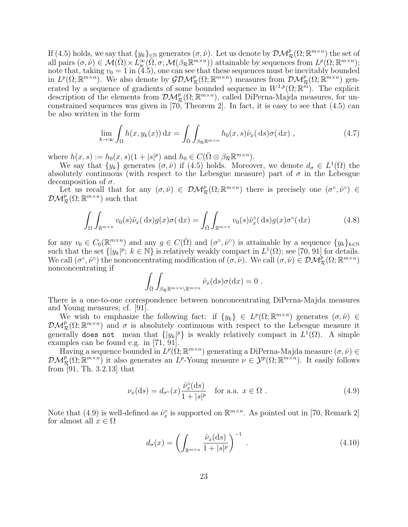If (4.5) holds, we say that  $\{y_k\}_{k\in\mathbb{N}}$  generates  $(\sigma, \hat{\nu})$ . Let us denote by  $\mathcal{DM}^p_{\mathcal{R}}(\Omega; \mathbb{R}^{m \times n})$  the set of all pairs  $(\sigma, \hat{\nu}) \in \mathcal{M}(\bar{\Omega}) \times L^{\infty}_{\mathcal{N}}(\bar{\Omega}, \sigma; \mathcal{M}(\beta_{\mathcal{R}} \mathbb{R}^{m \times n}))$  attainable by sequences from  $L^p(\Omega; \mathbb{R}^{m \times n})$ ; note that, taking  $v_0 = 1$  in (4.5), one can see that these sequences must be inevitably bounded in  $L^p(\Omega; \mathbb{R}^{m \times n})$ . We also denote by  $\mathcal{GDM}^p_{\mathcal{R}}(\Omega; \mathbb{R}^{m \times n})$  measures from  $\mathcal{DM}^p_{\mathcal{R}}(\Omega; \mathbb{R}^{m \times n})$  generated by a sequence of gradients of some bounded sequence in  $W^{1,p}(\Omega;\mathbb{R}^m)$ . The explicit description of the elements from  $\mathcal{DM}_{\mathcal{R}}^p(\Omega;\mathbb{R}^{m\times n})$ , called DiPerna-Majda measures, for unconstrained sequences was given in  $[70,$  Theorem 2. In fact, it is easy to see that  $(4.5)$  can be also written in the form

$$
\lim_{k \to \infty} \int_{\Omega} h(x, y_k(x)) dx = \int_{\bar{\Omega}} \int_{\beta_{\mathcal{R}} \mathbb{R}^{m \times n}} h_0(x, s) \hat{\nu}_x(ds) \sigma(dx) , \qquad (4.7)
$$

where  $h(x, s) := h_0(x, s)(1 + |s|^p)$  and  $h_0 \in C(\overline{\Omega} \otimes \beta_{\mathcal{R}} \mathbb{R}^{m \times n})$ .

We say that  $\{y_k\}$  generates  $(\sigma, \hat{\nu})$  if (4.5) holds. Moreover, we denote  $d_{\sigma} \in L^1(\Omega)$  the absolutely continuous (with respect to the Lebesgue measure) part of  $\sigma$  in the Lebesgue decomposition of  $\sigma$ .

Let us recall that for any  $(\sigma, \hat{\nu}) \in \mathcal{DM}_{\mathcal{R}}^p(\Omega; \mathbb{R}^{m \times n})$  there is precisely one  $(\sigma^{\circ}, \hat{\nu}^{\circ}) \in$  $\mathcal{DM}^p_{\mathcal{R}}(\Omega;\mathbb{R}^{m\times n})$  such that

$$
\int_{\Omega} \int_{\mathbb{R}^{m \times n}} v_0(s) \hat{\nu}_x(\,\mathrm{d}s) g(x) \sigma(\,\mathrm{d}x) = \int_{\bar{\Omega}} \int_{\mathbb{R}^{m \times n}} v_0(s) \hat{\nu}_x^{\circ}(\,\mathrm{d}s) g(x) \sigma^{\circ}(\,\mathrm{d}x) \tag{4.8}
$$

for any  $v_0 \in C_0(\mathbb{R}^{m \times n})$  and any  $g \in C(\overline{\Omega})$  and  $(\sigma^{\circ}, \hat{\nu}^{\circ})$  is attainable by a sequence  $\{y_k\}_{k \in \mathbb{N}}$ such that the set  $\{|y_k|^p$ ;  $k \in \mathbb{N}\}\$  is relatively weakly compact in  $L^1(\Omega)$ ; see [70, 91] for details. We call  $(\sigma^{\circ}, \hat{\nu}^{\circ})$  the nonconcentrating modification of  $(\sigma, \hat{\nu})$ . We call  $(\sigma, \hat{\nu}) \in \mathcal{DM}_{\mathcal{R}}^p(\Omega; \mathbb{R}^{m \times n})$ nonconcentrating if

$$
\int_{\bar{\Omega}} \int_{\beta_{\mathcal{R}} \mathbb{R}^{m \times n} \setminus \mathbb{R}^{m \times n}} \hat{\nu}_x(\mathrm{d}s) \sigma(\mathrm{d}x) = 0.
$$

There is a one-to-one correspondence between nonconcentrating DiPerna-Majda measures and Young measures; cf. [91].

We wish to emphasize the following fact: if  $\{y_k\} \in L^p(\Omega;\mathbb{R}^{m \times n})$  generates  $(\sigma,\hat{\nu}) \in$  $\mathcal{DM}_{\mathcal{R}}^p(\Omega;\mathbb{R}^{m\times n})$  and  $\sigma$  is absolutely continuous with respect to the Lebesgue measure it generally does not mean that  $\{|y_k|^p\}$  is weakly relatively compact in  $L^1(\Omega)$ . A simple examples can be found e.g. in [71, 91].

Having a sequence bounded in  $L^p(\Omega;\mathbb{R}^{m\times n})$  generating a DiPerna-Majda measure  $(\sigma,\hat{\nu})\in$  $\mathcal{DM}_{\mathcal{R}}^p(\Omega;\mathbb{R}^{m\times n})$  it also generates an  $L^p$ -Young measure  $\nu \in \mathcal{Y}^p(\Omega;\mathbb{R}^{m\times n})$ . It easily follows from [91, Th. 3.2.13] that

$$
\nu_x(\mathrm{d}s) = d_{\sigma^\circ}(x) \frac{\hat{\nu}_x^\circ(\mathrm{d}s)}{1+|s|^p} \quad \text{for a.a. } x \in \Omega \; . \tag{4.9}
$$

Note that (4.9) is well-defined as  $\hat{\nu}_x^{\circ}$  is supported on  $\mathbb{R}^{m \times n}$ . As pointed out in [70, Remark 2] for almost all  $x \in \Omega$ 

$$
d_{\sigma}(x) = \left(\int_{\mathbb{R}^{m \times n}} \frac{\hat{\nu}_x(\mathrm{d}s)}{1 + |s|^p}\right)^{-1} . \tag{4.10}
$$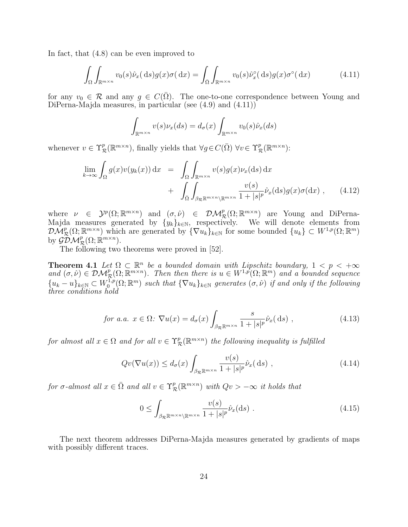In fact, that (4.8) can be even improved to

$$
\int_{\Omega} \int_{\mathbb{R}^{m \times n}} v_0(s) \hat{\nu}_x(\,\mathrm{d}s) g(x) \sigma(\,\mathrm{d}x) = \int_{\bar{\Omega}} \int_{\mathbb{R}^{m \times n}} v_0(s) \hat{\nu}_x^{\circ}(\,\mathrm{d}s) g(x) \sigma^{\circ}(\,\mathrm{d}x) \tag{4.11}
$$

for any  $v_0 \in \mathcal{R}$  and any  $g \in C(\overline{\Omega})$ . The one-to-one correspondence between Young and DiPerna-Majda measures, in particular (see (4.9) and (4.11))

$$
\int_{\mathbb{R}^{m \times n}} v(s) \nu_x(ds) = d_{\sigma}(x) \int_{\mathbb{R}^{m \times n}} v_0(s) \hat{\nu}_x(ds)
$$

whenever  $v \in \Upsilon^p_{\mathcal{R}}(\mathbb{R}^{m \times n})$ , finally yields that  $\forall g \in C(\overline{\Omega}) \ \forall v \in \Upsilon^p_{\mathcal{R}}(\mathbb{R}^{m \times n})$ :

$$
\lim_{k \to \infty} \int_{\Omega} g(x)v(y_k(x)) dx = \int_{\Omega} \int_{\mathbb{R}^{m \times n}} v(s)g(x)v_x(ds) dx + \int_{\overline{\Omega}} \int_{\beta_{\mathcal{R}} \mathbb{R}^{m \times n} \setminus \mathbb{R}^{m \times n}} \frac{v(s)}{1 + |s|^p} \hat{\nu}_x(ds)g(x)\sigma(dx) , \qquad (4.12)
$$

where  $\nu \in \mathcal{Y}^p(\Omega;\mathbb{R}^{m\times n})$  and  $(\sigma,\hat{\nu}) \in \mathcal{DM}^p_{\mathcal{R}}(\Omega;\mathbb{R}^{m\times n})$  are Young and DiPerna-Majda measures generated by  $\{y_k\}_{k\in\mathbb{N}}$ , respectively. We will denote elements from  $\mathcal{DM}_{\mathcal{R}}^p(\Omega;\mathbb{R}^{m\times n})$  which are generated by  $\{\nabla u_k\}_{k\in\mathbb{N}}$  for some bounded  $\{u_k\}\subset W^{1,p}(\Omega;\mathbb{R}^m)$ by  $\mathcal{GDM}_{\mathcal{R}}^p(\Omega; \mathbb{R}^{m \times n})$ .

The following two theorems were proved in [52].

**Theorem 4.1** Let  $\Omega \subset \mathbb{R}^n$  be a bounded domain with Lipschitz boundary,  $1 < p < +\infty$ and  $(\sigma, \hat{\nu}) \in \mathcal{DM}_{\mathcal{R}}^p(\Omega; \overline{\mathbb{R}}^{m \times n})$ . Then then there is  $u \in W^{1,p}(\Omega; \mathbb{R}^m)$  and a bounded sequence  ${u_k-u}_{k\in\mathbb{N}}\subset W_0^{1,p}$  $\mathcal{O}^{1,p}_{0}(\Omega;\mathbb{R}^m)$  such that  $\{\nabla u_k\}_{k\in\mathbb{N}}$  generates  $(\sigma,\hat{\nu})$  if and only if the following three conditions hold

$$
for a.a. \ x \in \Omega: \ \nabla u(x) = d_{\sigma}(x) \int_{\beta_{\mathcal{R}} \mathbb{R}^{m \times n}} \frac{s}{1 + |s|^{p}} \hat{\nu}_{x}(\mathrm{d}s) \ , \tag{4.13}
$$

for almost all  $x \in \Omega$  and for all  $v \in \Upsilon^p_{\mathcal{R}}(\mathbb{R}^{m \times n})$  the following inequality is fulfilled

$$
Qv(\nabla u(x)) \le d_{\sigma}(x) \int_{\beta_{\mathcal{R}} \mathbb{R}^{m \times n}} \frac{v(s)}{1 + |s|^p} \hat{\nu}_x(\,\mathrm{d}s) ,\qquad(4.14)
$$

for  $\sigma$ -almost all  $x \in \overline{\Omega}$  and all  $v \in \Upsilon^p_{\mathcal{R}}(\mathbb{R}^{m \times n})$  with  $Qv > -\infty$  it holds that

$$
0 \le \int_{\beta_{\mathcal{R}} \mathbb{R}^{m \times n} \setminus \mathbb{R}^{m \times n}} \frac{v(s)}{1 + |s|^p} \hat{\nu}_x(\text{d}s) \tag{4.15}
$$

The next theorem addresses DiPerna-Majda measures generated by gradients of maps with possibly different traces.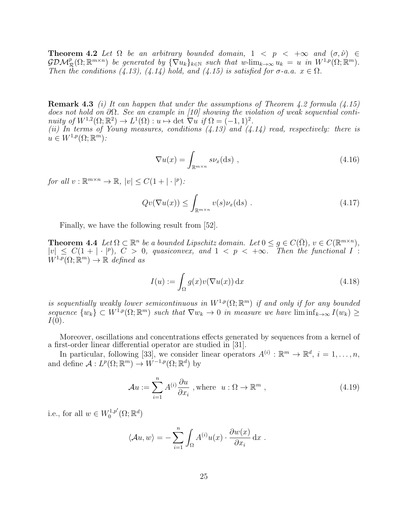**Theorem 4.2** Let  $\Omega$  be an arbitrary bounded domain,  $1 \lt p \lt +\infty$  and  $(\sigma, \hat{\nu}) \in$  $\mathcal{GDM}_{\mathcal{R}}^p(\Omega;\mathbb{R}^{m\times n})$  be generated by  $\{\nabla u_k\}_{k\in\mathbb{N}}$  such that w- $\lim_{k\to\infty} u_k = u$  in  $W^{1,p}(\Omega;\mathbb{R}^m)$ . Then the conditions (4.13), (4.14) hold, and (4.15) is satisfied for  $\sigma$ -a.a.  $x \in \Omega$ .

**Remark 4.3** (i) It can happen that under the assumptions of Theorem 4.2 formula  $(4.15)$ does not hold on ∂Ω. See an example in [10] showing the violation of weak sequential continuity of  $W^{1,2}(\Omega;\mathbb{R}^2) \to L^1(\Omega): u \mapsto \det \nabla u \text{ if } \Omega = (-1,1)^2.$ (ii) In terms of Young measures, conditions  $(4.13)$  and  $(4.14)$  read, respectively: there is  $u \in W^{1,p}(\Omega;\mathbb{R}^m)$ :

$$
\nabla u(x) = \int_{\mathbb{R}^{m \times n}} s \nu_x(\text{d}s) , \qquad (4.16)
$$

for all  $v : \mathbb{R}^{m \times n} \to \mathbb{R}, |v| \leq C(1 + |\cdot|^p)$ :

$$
Qv(\nabla u(x)) \le \int_{\mathbb{R}^{m \times n}} v(s) \nu_x(\mathrm{d}s) . \tag{4.17}
$$

Finally, we have the following result from [52].

**Theorem 4.4** Let  $\Omega \subset \mathbb{R}^n$  be a bounded Lipschitz domain. Let  $0 \le g \in C(\overline{\Omega})$ ,  $v \in C(\mathbb{R}^{m \times n})$ ,  $|v| \leq C(1+|\cdot|^p)$ ,  $C > 0$ , quasiconvex, and  $1 < p < +\infty$ . Then the functional  $I^{\circ}$ :  $W^{1,p}(\Omega;\mathbb{R}^m)\to\mathbb{R}$  defined as

$$
I(u) := \int_{\Omega} g(x)v(\nabla u(x)) dx
$$
\n(4.18)

is sequentially weakly lower semicontinuous in  $W^{1,p}(\Omega;\mathbb{R}^m)$  if and only if for any bounded sequence  $\{w_k\} \subset W^{1,p}(\Omega;\mathbb{R}^m)$  such that  $\nabla w_k \to 0$  in measure we have  $\liminf_{k\to\infty} I(w_k) \ge$  $I(0)$ .

Moreover, oscillations and concentrations effects generated by sequences from a kernel of a first-order linear differential operator are studied in [31].

In particular, following [33], we consider linear operators  $A^{(i)} : \mathbb{R}^m \to \mathbb{R}^d$ ,  $i = 1, \ldots, n$ , and define  $\mathcal{A}: L^p(\Omega; \mathbb{R}^m) \to W^{-1,p}(\Omega; \mathbb{R}^d)$  by

$$
\mathcal{A}u := \sum_{i=1}^{n} A^{(i)} \frac{\partial u}{\partial x_i}, \text{where } u : \Omega \to \mathbb{R}^m,
$$
\n(4.19)

i.e., for all  $w \in W_0^{1,p'}$  $\mathcal{C}^{1,p'}_{0}(\Omega;\mathbb{R}^d)$ 

$$
\langle Au, w \rangle = -\sum_{i=1}^{n} \int_{\Omega} A^{(i)} u(x) \cdot \frac{\partial w(x)}{\partial x_i} dx
$$
.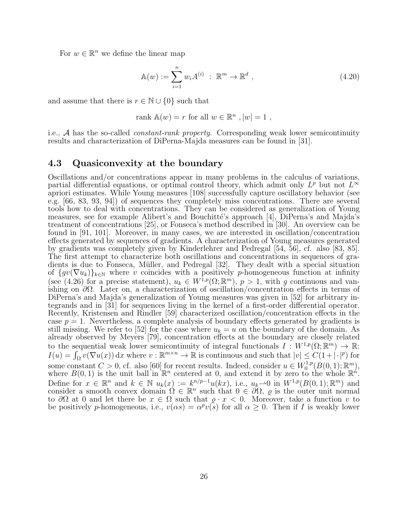For  $w \in \mathbb{R}^n$  we define the linear map

$$
\mathbb{A}(w) := \sum_{i=1}^{n} w_i A^{(i)} : \mathbb{R}^m \to \mathbb{R}^d ,
$$
\n(4.20)

and assume that there is  $r \in \mathbb{N} \cup \{0\}$  such that

rank 
$$
\mathbb{A}(w) = r
$$
 for all  $w \in \mathbb{R}^n$ ,  $|w| = 1$ ,

i.e.,  $A$  has the so-called *constant-rank property*. Corresponding weak lower semicontinuity results and characterization of DiPerna-Majda measures can be found in [31].

#### 4.3 Quasiconvexity at the boundary

Oscillations and/or concentrations appear in many problems in the calculus of variations, partial differential equations, or optimal control theory, which admit only  $L^p$  but not  $L^{\infty}$ apriori estimates. While Young measures [108] successfully capture oscillatory behavior (see e.g. [66, 83, 93, 94]) of sequences they completely miss concentrations. There are several tools how to deal with concentrations. They can be considered as generalization of Young measures, see for example Alibert's and Bouchitté's approach [4], DiPerna's and Majda's treatment of concentrations [25], or Fonseca's method described in [30]. An overview can be found in [91, 101]. Moreover, in many cases, we are interested in oscillation/concentration effects generated by sequences of gradients. A characterization of Young measures generated by gradients was completely given by Kinderlehrer and Pedregal [54, 56], cf. also [83, 85]. The first attempt to characterize both oscillations and concentrations in sequences of gradients is due to Fonseca, Müller, and Pedregal  $[32]$ . They dealt with a special situation of  $\{gv(\nabla u_k)\}_{k\in\mathbb{N}}$  where v coincides with a positively p-homogeneous function at infinity (see (4.26) for a precise statement),  $u_k \in W^{1,p}(\Omega;\mathbb{R}^m)$ ,  $p > 1$ , with g continuous and vanishing on ∂Ω. Later on, a characterization of oscillation/concentration effects in terms of DiPerna's and Majda's generalization of Young measures was given in [52] for arbitrary integrands and in [31] for sequences living in the kernel of a first-order differential operator. Recently, Kristensen and Rindler [59] characterized oscillation/concentration effects in the case  $p = 1$ . Nevertheless, a complete analysis of boundary effects generated by gradients is still missing. We refer to [52] for the case where  $u_k = u$  on the boundary of the domain. As already observed by Meyers [79], concentration effects at the boundary are closely related to the sequential weak lower semicontinuity of integral functionals  $I: W^{1,p}(\Omega; \mathbb{R}^m) \to \mathbb{R}$ :  $I(u) = \int_{\Omega} v(\nabla u(x)) dx$  where  $v : \mathbb{R}^{m \times n} \to \mathbb{R}$  is continuous and such that  $|v| \leq C(1 + |\cdot|^p)$  for some constant  $C > 0$ , cf. also [60] for recent results. Indeed, consider  $u \in W_0^{1,p}$  $C_0^{1,p}(B(0,1); \mathbb{R}^m),$ where  $B(0,1)$  is the unit ball in  $\mathbb{R}^n$  centered at 0, and extend it by zero to the whole  $\mathbb{R}^n$ . Define for  $x \in \mathbb{R}^n$  and  $k \in \mathbb{N}$   $u_k(x) := k^{n/p-1}u(kx)$ , i.e.,  $u_k \to 0$  in  $W^{1,p}(B(0,1); \mathbb{R}^m)$  and consider a smooth convex domain  $\Omega \in \mathbb{R}^n$  such that  $0 \in \partial \Omega$ ,  $\varrho$  is the outer unit normal to  $\partial\Omega$  at 0 and let there be  $x \in \Omega$  such that  $\rho \cdot x < 0$ . Moreover, take a function v to be positively p-homogeneous, i.e.,  $v(\alpha s) = \alpha^p v(s)$  for all  $\alpha \geq 0$ . Then if I is weakly lower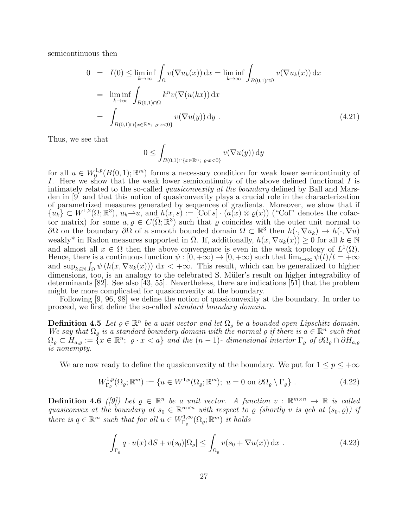semicontinuous then

$$
0 = I(0) \le \liminf_{k \to \infty} \int_{\Omega} v(\nabla u_k(x)) dx = \liminf_{k \to \infty} \int_{B(0,1) \cap \Omega} v(\nabla u_k(x)) dx
$$
  
\n
$$
= \liminf_{k \to \infty} \int_{B(0,1) \cap \Omega} k^n v(\nabla (u(kx)) dx
$$
  
\n
$$
= \int_{B(0,1) \cap \{x \in \mathbb{R}^n; \varrho \cdot x < 0\}} v(\nabla u(y)) dy . \tag{4.21}
$$

Thus, we see that

$$
0 \leq \int_{B(0,1)\cap\{x\in\mathbb{R}^n;\ \varrho\cdot x < 0\}} v(\nabla u(y)) \, \mathrm{d}y
$$

for all  $u \in W_0^{1,p}$  $\mathbb{C}_0^{1,p}(B(0,1); \mathbb{R}^m)$  forms a necessary condition for weak lower semicontinuity of I. Here we show that the weak lower semicontinuity of the above defined functional I is intimately related to the so-called quasiconvexity at the boundary defined by Ball and Marsden in [9] and that this notion of quasiconvexity plays a crucial role in the characterization of parametrized measures generated by sequences of gradients. Moreover, we show that if  ${u_k} \subset W^{1,2}(\Omega;\mathbb{R}^3), u_k \to u$ , and  $h(x,s) := [\text{Cof } s] \cdot (a(x) \otimes \varrho(x))$  ("Cof" denotes the cofactor matrix) for some  $a, \varrho \in C(\bar{\Omega}; \mathbb{R}^3)$  such that  $\varrho$  coincides with the outer unit normal to ∂Ω on the boundary ∂Ω of a smooth bounded domain  $\Omega \subset \mathbb{R}^3$  then  $h(·, ∇u_k) \to h(·, ∇u)$ weakly<sup>\*</sup> in Radon measures supported in  $\overline{\Omega}$ . If, additionally,  $h(x, \nabla u_k(x)) \geq 0$  for all  $k \in \mathbb{N}$ and almost all  $x \in \Omega$  then the above convergence is even in the weak topology of  $L^1(\Omega)$ . Hence, there is a continuous function  $\psi : [0, +\infty) \to [0, +\infty)$  such that  $\lim_{t\to\infty} \psi(t)/t = +\infty$ and  $\sup_{k\in\mathbb{N}} \int_{\Omega} \psi(h(x,\nabla u_k(x))) dx < +\infty$ . This result, which can be generalized to higher dimensions, too, is an analogy to the celebrated S. Müler's result on higher integrability of determinants [82]. See also [43, 55]. Nevertheless, there are indications [51] that the problem might be more complicated for quasiconvexity at the boundary.

Following [9, 96, 98] we define the notion of quasiconvexity at the boundary. In order to proceed, we first define the so-called standard boundary domain.

**Definition 4.5** Let  $\varrho \in \mathbb{R}^n$  be a unit vector and let  $\Omega_{\varrho}$  be a bounded open Lipschitz domain. We say that  $\Omega_{\varrho}$  is a standard boundary domain with the normal  $\varrho$  if there is  $a \in \mathbb{R}^n$  such that  $\Omega_{\varrho} \subset H_{a,\varrho} := \{x \in \mathbb{R}^n; \varrho \cdot x < a\}$  and the  $(n-1)$ - dimensional interior  $\Gamma_{\varrho}$  of  $\partial \Omega_{\varrho} \cap \partial H_{a,\varrho}$ is nonempty.

We are now ready to define the quasiconvexity at the boundary. We put for  $1 \le p \le +\infty$ 

$$
W_{\Gamma_{\varrho}}^{1,p}(\Omega_{\varrho}; \mathbb{R}^m) := \{ u \in W^{1,p}(\Omega_{\varrho}; \mathbb{R}^m); \ u = 0 \text{ on } \partial\Omega_{\varrho} \setminus \Gamma_{\varrho} \} . \tag{4.22}
$$

**Definition 4.6** ([9]) Let  $\varrho \in \mathbb{R}^n$  be a unit vector. A function  $v : \mathbb{R}^{m \times n} \to \mathbb{R}$  is called quasiconvex at the boundary at  $s_0 \in \mathbb{R}^{m \times n}$  with respect to  $\varrho$  (shortly v is qcb at  $(s_0, \varrho)$ ) if there is  $q \in \mathbb{R}^m$  such that for all  $u \in W^{1,\infty}_{\Gamma_{\alpha}}$  $\iota_{\Gamma_\varrho}^{1,\infty}(\Omega_\varrho;\mathbb{R}^m)$  it holds

$$
\int_{\Gamma_{\varrho}} q \cdot u(x) \, \mathrm{d}S + v(s_0) |\Omega_{\varrho}| \le \int_{\Omega_{\varrho}} v(s_0 + \nabla u(x)) \, \mathrm{d}x \; . \tag{4.23}
$$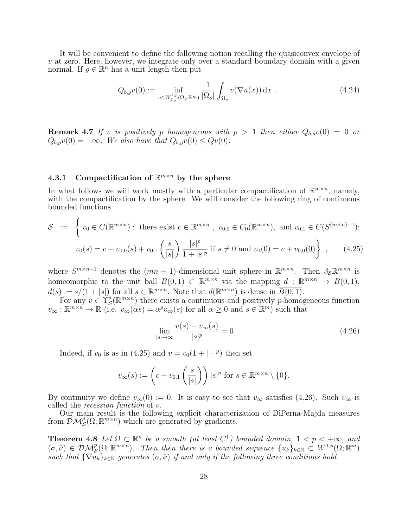It will be convenient to define the following notion recalling the quasiconvex envelope of  $v$  at zero. Here, however, we integrate only over a standard boundary domain with a given normal. If  $\rho \in \mathbb{R}^n$  has a unit length then put

$$
Q_{b,\varrho}v(0) := \inf_{u \in W_{\Gamma_{\varrho}}^{1,p}(\Omega_{\varrho};\mathbb{R}^m)} \frac{1}{|\Omega_{\varrho}|} \int_{\Omega_{\varrho}} v(\nabla u(x)) dx . \qquad (4.24)
$$

**Remark 4.7** If v is positively p homogeneous with  $p > 1$  then either  $Q_{b,o}v(0) = 0$  or  $Q_{b,\rho}v(0) = -\infty$ . We also have that  $Q_{b,\rho}v(0) \leq Qv(0)$ .

### 4.3.1 Compactification of  $\mathbb{R}^{m \times n}$  by the sphere

In what follows we will work mostly with a particular compactification of  $\mathbb{R}^{m \times n}$ , namely, with the compactification by the sphere. We will consider the following ring of continuous bounded functions

$$
S := \left\{ v_0 \in C(\mathbb{R}^{m \times n}) : \text{ there exist } c \in \mathbb{R}^{m \times n}, v_{0,0} \in C_0(\mathbb{R}^{m \times n}), \text{ and } v_{0,1} \in C(S^{(m \times n)-1});
$$
  

$$
v_0(s) = c + v_{0,0}(s) + v_{0,1}\left(\frac{s}{|s|}\right) \frac{|s|^p}{1 + |s|^p} \text{ if } s \neq 0 \text{ and } v_0(0) = c + v_{0,0}(0) \right\}, \qquad (4.25)
$$

where  $S^{m\times n-1}$  denotes the  $(mn-1)$ -dimensional unit sphere in  $\mathbb{R}^{m\times n}$ . Then  $\beta_{\mathcal{S}}\mathbb{R}^{m\times n}$  is homeomorphic to the unit ball  $\overline{B(0,1)} \subset \mathbb{R}^{m \times n}$  via the mapping  $d : \mathbb{R}^{m \times n} \to B(0,1)$ ,  $d(s) := s/(1+|s|)$  for all  $s \in \mathbb{R}^{m \times n}$ . Note that  $d(\mathbb{R}^{m \times n})$  is dense in  $\overline{B(0,1)}$ .

For any  $v \in \Upsilon_S^p$  $S(\mathbb{R}^{m\times n})$  there exists a continuous and positively p-homogeneous function  $v_{\infty}: \mathbb{R}^{m \times n} \to \mathbb{R}$  (i.e.  $v_{\infty}(\alpha s) = \alpha^p v_{\infty}(s)$  for all  $\alpha \geq 0$  and  $s \in \mathbb{R}^m$ ) such that

$$
\lim_{|s| \to \infty} \frac{v(s) - v_{\infty}(s)}{|s|^p} = 0 \tag{4.26}
$$

Indeed, if  $v_0$  is as in (4.25) and  $v = v_0(1 + |\cdot|^p)$  then set

$$
v_{\infty}(s) := \left(c + v_{0,1}\left(\frac{s}{|s|}\right)\right) |s|^p \text{ for } s \in \mathbb{R}^{m \times n} \setminus \{0\}.
$$

By continuity we define  $v_{\infty}(0) := 0$ . It is easy to see that  $v_{\infty}$  satisfies (4.26). Such  $v_{\infty}$  is called the recession function of v.

Our main result is the following explicit characterization of DiPerna-Majda measures from  $\mathcal{DM}_{\mathcal{S}}^p(\Omega;\mathbb{R}^{m\times n})$  which are generated by gradients.

**Theorem 4.8** Let  $\Omega \subset \mathbb{R}^n$  be a smooth (at least  $C^1$ ) bounded domain,  $1 < p < +\infty$ , and  $(\sigma, \hat{\nu}) \in \mathcal{DM}_{\mathcal{S}}^p(\Omega; \mathbb{R}^{m \times n})$ . Then there is a bounded sequence  $\{u_k\}_{k \in \mathbb{N}} \subset W^{1,p}(\Omega; \mathbb{R}^m)$ such that  ${\nabla u_k}_{k\in\mathbb{N}}$  generates  $(\sigma, \hat{\nu})$  if and only if the following three conditions hold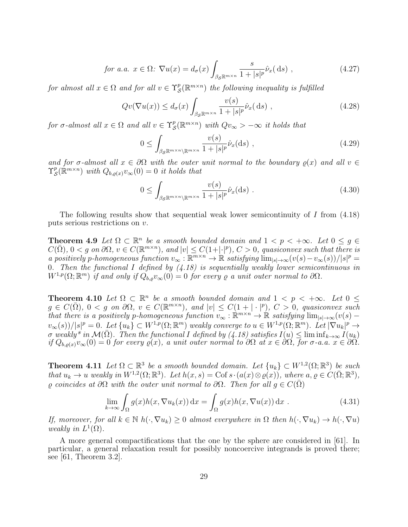$$
\text{for a.a. } x \in \Omega: \nabla u(x) = d_{\sigma}(x) \int_{\beta_{\mathcal{S}} \mathbb{R}^{m \times n}} \frac{s}{1 + |s|^{p}} \hat{\nu}_{x}(\text{d}s) ,\tag{4.27}
$$

for almost all  $x \in \Omega$  and for all  $v \in \Upsilon_S^p$  $S(\mathbb{R}^{m\times n})$  the following inequality is fulfilled

$$
Qv(\nabla u(x)) \le d_{\sigma}(x) \int_{\beta_{\mathcal{S}} \mathbb{R}^{m \times n}} \frac{v(s)}{1 + |s|^{p}} \hat{\nu}_x(\,\mathrm{d}s) , \qquad (4.28)
$$

for  $\sigma$ -almost all  $x \in \Omega$  and all  $v \in \Upsilon_S^p$  $S(\mathbb{R}^{m\times n})$  with  $Qv_{\infty}>-\infty$  it holds that

$$
0 \le \int_{\beta_{\mathcal{S}} \mathbb{R}^{m \times n} \setminus \mathbb{R}^{m \times n}} \frac{v(s)}{1 + |s|^{p}} \hat{\nu}_x(\text{d}s) ,\qquad(4.29)
$$

and for  $\sigma$ -almost all  $x \in \partial\Omega$  with the outer unit normal to the boundary  $\rho(x)$  and all  $v \in \partial\Omega$  $\Upsilon_{\mathcal{S}}^p$  $\mathcal{L}_\mathcal{S}(\mathbb{R}^{m\times n})$  with  $Q_{b,\varrho(x)}v_\infty(0)=0$  it holds that

$$
0 \le \int_{\beta_{\mathcal{S}} \mathbb{R}^{m \times n} \setminus \mathbb{R}^{m \times n}} \frac{v(s)}{1 + |s|^{p}} \hat{\nu}_x(\text{d}s) . \tag{4.30}
$$

The following results show that sequential weak lower semicontinuity of I from (4.18) puts serious restrictions on v.

**Theorem 4.9** Let  $\Omega \subset \mathbb{R}^n$  be a smooth bounded domain and  $1 < p < +\infty$ . Let  $0 \le g \in$  $C(\bar{\Omega}), 0 < g$  on  $\partial\Omega, v \in C(\mathbb{R}^{m \times n}),$  and  $|v| \leq C(1+|\cdot|^p), C > 0$ , quasiconvex such that there is a positively p-homogeneous function  $v_{\infty}: \mathbb{R}^{m \times n} \to \mathbb{R}$  satisfying  $\lim_{|s| \to \infty} (v(s) - v_{\infty}(s)) / |s|^p =$ 0. Then the functional I defined by  $(4.18)$  is sequentially weakly lower semicontinuous in  $W^{1,p}(\Omega;\mathbb{R}^m)$  if and only if  $Q_{b,\varrho}v_{\infty}(0) = 0$  for every  $\varrho$  a unit outer normal to  $\partial\Omega$ .

**Theorem 4.10** Let  $\Omega \subset \mathbb{R}^n$  be a smooth bounded domain and  $1 < p < +\infty$ . Let  $0 \le$  $g \in C(\bar{\Omega}), 0 < g$  on  $\partial \Omega, v \in C(\mathbb{R}^{m \times n}),$  and  $|v| \leq C(1 + |\cdot|^p), C > 0$ , quasiconvex such that there is a positively p-homogeneous function  $v_{\infty} : \mathbb{R}^{m \times n} \to \mathbb{R}$  satisfying  $\lim_{|s| \to \infty} (v(s)$  $v_{\infty}(s))/|s|^p = 0.$  Let  $\{u_k\} \subset W^{1,p}(\Omega;\mathbb{R}^m)$  weakly converge to  $u \in W^{1,p}(\Omega;\mathbb{R}^m)$ . Let  $|\nabla u_k|^p \to$  $\sigma$  weakly<sup>\*</sup> in  $\mathcal{M}(\bar{\Omega})$ . Then the functional I defined by (4.18) satisfies  $I(u) \leq \liminf_{k \to \infty} I(u_k)$ if  $Q_{b,\varrho(x)}v_{\infty}(0) = 0$  for every  $\varrho(x)$ , a unit outer normal to  $\partial\Omega$  at  $x \in \partial\Omega$ , for  $\sigma$ -a.a.  $x \in \partial\Omega$ .

**Theorem 4.11** Let  $\Omega \subset \mathbb{R}^3$  be a smooth bounded domain. Let  $\{u_k\} \subset W^{1,2}(\Omega;\mathbb{R}^3)$  be such that  $u_k \to u$  weakly in  $W^{1,2}(\Omega;\mathbb{R}^3)$ . Let  $h(x,s) = \text{Cof } s \cdot (a(x) \otimes \varrho(x))$ , where  $a, \varrho \in C(\bar{\Omega}; \mathbb{R}^3)$ ,  $\rho$  coincides at  $\partial\Omega$  with the outer unit normal to  $\partial\Omega$ . Then for all  $g \in C(\overline{\Omega})$ 

$$
\lim_{k \to \infty} \int_{\Omega} g(x)h(x, \nabla u_k(x)) dx = \int_{\Omega} g(x)h(x, \nabla u(x)) dx .
$$
 (4.31)

If, moreover, for all  $k \in \mathbb{N}$   $h(\cdot, \nabla u_k) \geq 0$  almost everywhere in  $\Omega$  then  $h(\cdot, \nabla u_k) \to h(\cdot, \nabla u)$ weakly in  $L^1(\Omega)$ .

A more general compactifications that the one by the sphere are considered in [61]. In particular, a general relaxation result for possibly noncoercive integrands is proved there; see [61, Theorem 3.2].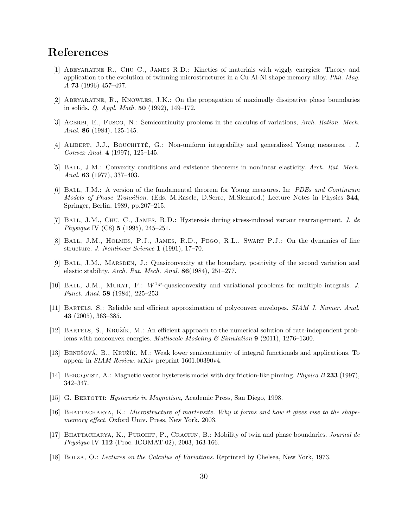# References

- [1] Abeyaratne R., Chu C., James R.D.: Kinetics of materials with wiggly energies: Theory and application to the evolution of twinning microstructures in a Cu-Al-Ni shape memory alloy. Phil. Mag. A 73 (1996) 457–497.
- [2] Abeyaratne, R., Knowles, J.K.: On the propagation of maximally dissipative phase boundaries in solids. Q. Appl. Math. 50 (1992), 149–172.
- [3] ACERBI, E., FUSCO, N.: Semicontinuity problems in the calculus of variations, Arch. Ration. Mech. Anal. **86** (1984), 125-145.
- [4] ALIBERT, J.J., BOUCHITTÉ, G.: Non-uniform integrability and generalized Young measures. . J. Convex Anal. 4 (1997), 125–145.
- [5] Ball, J.M.: Convexity conditions and existence theorems in nonlinear elasticity. Arch. Rat. Mech. Anal. **63** (1977), 337-403.
- [6] Ball, J.M.: A version of the fundamental theorem for Young measures. In: PDEs and Continuum Models of Phase Transition. (Eds. M.Rascle, D.Serre, M.Slemrod.) Lecture Notes in Physics 344, Springer, Berlin, 1989, pp.207–215.
- [7] Ball, J.M., Chu, C., James, R.D.: Hysteresis during stress-induced variant rearrangement. J. de Physique IV (C8) 5 (1995), 245–251.
- [8] Ball, J.M., Holmes, P.J., James, R.D., Pego, R.L., Swart P.J.: On the dynamics of fine structure. J. Nonlinear Science 1 (1991), 17-70.
- [9] Ball, J.M., Marsden, J.: Quasiconvexity at the boundary, positivity of the second variation and elastic stability. Arch. Rat. Mech. Anal.  $86(1984)$ , 251–277.
- [10] BALL, J.M., MURAT, F.:  $W^{1,p}$ -quasiconvexity and variational problems for multiple integrals. J. Funct. Anal. 58 (1984), 225–253.
- [11] BARTELS, S.: Reliable and efficient approximation of polyconvex envelopes. SIAM J. Numer. Anal. 43 (2005), 363–385.
- [12] BARTELS, S., KRUŽÍK, M.: An efficient approach to the numerical solution of rate-independent problems with nonconvex energies. *Multiscale Modeling & Simulation* **9** (2011), 1276–1300.
- [13] BENEŠOVÁ, B., KRUŽÍK, M.: Weak lower semicontinuity of integral functionals and applications. To appear in SIAM Review. arXiv preprint 1601.00390v4.
- [14] BERGQVIST, A.: Magnetic vector hysteresis model with dry friction-like pinning. *Physica B* 233 (1997), 342–347.
- [15] G. Bertotti: Hysteresis in Magnetism, Academic Press, San Diego, 1998.
- [16] BHATTACHARYA, K.: Microstructure of martensite. Why it forms and how it gives rise to the shapememory effect. Oxford Univ. Press, New York, 2003.
- [17] BHATTACHARYA, K., PUROHIT, P., CRACIUN, B.: Mobility of twin and phase boundaries. Journal de Physique IV 112 (Proc. ICOMAT-02), 2003, 163-166.
- [18] BOLZA, O.: Lectures on the Calculus of Variations. Reprinted by Chelsea, New York, 1973.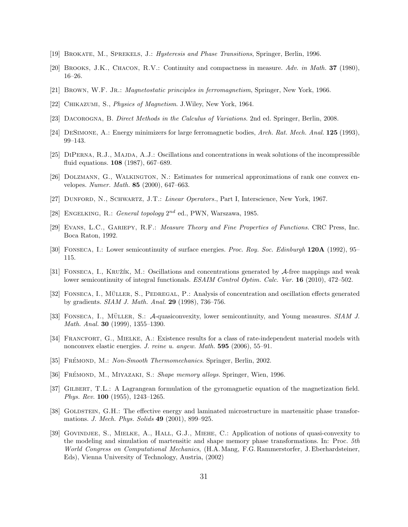- [19] Brokate, M., Sprekels, J.: Hysteresis and Phase Transitions, Springer, Berlin, 1996.
- [20] Brooks, J.K., Chacon, R.V.: Continuity and compactness in measure. Adv. in Math. 37 (1980), 16–26.
- [21] BROWN, W.F. JR.: *Magnetostatic principles in ferromagnetism*, Springer, New York, 1966.
- [22] CHIKAZUMI, S., *Physics of Magnetism.* J. Wiley, New York, 1964.
- [23] Dacorogna, B. Direct Methods in the Calculus of Variations. 2nd ed. Springer, Berlin, 2008.
- [24] DeSimone, A.: Energy minimizers for large ferromagnetic bodies, Arch. Rat. Mech. Anal. 125 (1993), 99–143.
- [25] DIPERNA, R.J., MAJDA, A.J.: Oscillations and concentrations in weak solutions of the incompressible fluid equations. 108 (1987), 667–689.
- [26] Dolzmann, G., Walkington, N.: Estimates for numerical approximations of rank one convex envelopes. Numer. Math. 85 (2000), 647–663.
- [27] DUNFORD, N., SCHWARTZ, J.T.: Linear Operators., Part I, Interscience, New York, 1967.
- [28] ENGELKING, R.: General topology  $2^{nd}$  ed., PWN, Warszawa, 1985.
- [29] Evans, L.C., Gariepy, R.F.: Measure Theory and Fine Properties of Functions. CRC Press, Inc. Boca Raton, 1992.
- [30] Fonseca, I.: Lower semicontinuity of surface energies. Proc. Roy. Soc. Edinburgh 120A (1992), 95– 115.
- [31] FONSECA, I., KRUŽÍK, M.: Oscillations and concentrations generated by  $\mathcal{A}$ -free mappings and weak lower semicontinuity of integral functionals. ESAIM Control Optim. Calc. Var. 16 (2010), 472–502.
- [32] FONSECA, I., MÜLLER, S., PEDREGAL, P.: Analysis of concentration and oscillation effects generated by gradients. SIAM J. Math. Anal. 29 (1998), 736–756.
- [33] FONSECA, I., MÜLLER, S.: A-quasiconvexity, lower semicontinuity, and Young measures. SIAM J. Math. Anal. 30 (1999), 1355–1390.
- [34] FRANCFORT, G., MIELKE, A.: Existence results for a class of rate-independent material models with nonconvex elastic energies. J. reine u. angew. Math. **595** (2006), 55–91.
- [35] FRÉMOND, M.: Non-Smooth Thermomechanics. Springer, Berlin, 2002.
- [36] FRÉMOND, M., MIYAZAKI, S.: Shape memory alloys. Springer, Wien, 1996.
- [37] Gilbert, T.L.: A Lagrangean formulation of the gyromagnetic equation of the magnetization field. Phys. Rev. 100 (1955), 1243–1265.
- [38] GOLDSTEIN, G.H.: The effective energy and laminated microstructure in martensitic phase transformations. *J. Mech. Phys. Solids* **49** (2001), 899–925.
- [39] Govindjee, S., Mielke, A., Hall, G.J., Miehe, C.: Application of notions of quasi-convexity to the modeling and simulation of martensitic and shape memory phase transformations. In: Proc. 5th World Congress on Computational Mechanics, (H.A. Mang, F.G. Rammerstorfer, J. Eberhardsteiner, Eds), Vienna University of Technology, Austria, (2002)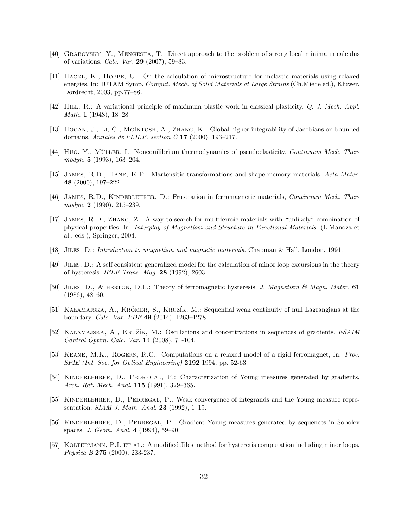- [40] Grabovsky, Y., Mengesha, T.: Direct approach to the problem of strong local minima in calculus of variations. Calc. Var. 29 (2007), 59–83.
- [41] Hackl, K., Hoppe, U.: On the calculation of microstructure for inelastic materials using relaxed energies. In: IUTAM Symp. Comput. Mech. of Solid Materials at Large Strains (Ch.Miehe ed.), Kluwer, Dordrecht, 2003, pp.77–86.
- [42] HILL, R.: A variational principle of maximum plastic work in classical plasticity. Q. J. Mech. Appl. Math. 1 (1948), 18–28.
- [43] Hogan, J., Li, C., McIntosh, A., Zhang, K.: Global higher integrability of Jacobians on bounded domains. Annales de l'I.H.P. section C 17 (2000), 193–217.
- [44] Huo, Y., Müller, I.: Nonequilibrium thermodynamics of pseudoelasticity. Continuum Mech. Thermodyn. 5 (1993), 163–204.
- [45] James, R.D., Hane, K.F.: Martensitic transformations and shape-memory materials. Acta Mater. 48 (2000), 197–222.
- [46] JAMES, R.D., KINDERLEHRER, D.: Frustration in ferromagnetic materials, *Continuum Mech. Ther* $modyn. 2 (1990), 215-239.$
- [47] James, R.D., Zhang, Z.: A way to search for multiferroic materials with "unlikely" combination of physical properties. In: Interplay of Magnetism and Structure in Functional Materials. (L.Manoza et al., eds.), Springer, 2004.
- [48] Jiles, D.: Introduction to magnetism and magnetic materials. Chapman & Hall, London, 1991.
- [49] Jiles, D.: A self consistent generalized model for the calculation of minor loop excursions in the theory of hysteresis. IEEE Trans. Mag. 28 (1992), 2603.
- [50] JILES, D., ATHERTON, D.L.: Theory of ferromagnetic hysteresis. J. Magnetism & Magn. Mater. 61 (1986), 48–60.
- [51] KALAMAJSKA, A., KRÖMER, S., KRUŽÍK, M.: Sequential weak continuity of null Lagrangians at the boundary. Calc. Var. PDE 49 (2014), 1263–1278.
- [52] KALAMAJSKA, A., KRUŽÍK, M.: Oscillations and concentrations in sequences of gradients. ESAIM Control Optim. Calc. Var. 14 (2008), 71-104.
- [53] KEANE, M.K., ROGERS, R.C.: Computations on a relaxed model of a rigid ferromagnet, In: Proc. SPIE (Int. Soc. for Optical Engineering) 2192 1994, pp. 52-63.
- [54] KINDERLEHRER, D., PEDREGAL, P.: Characterization of Young measures generated by gradients. Arch. Rat. Mech. Anal. **115** (1991), 329-365.
- [55] Kinderlehrer, D., Pedregal, P.: Weak convergence of integrands and the Young measure representation. SIAM J. Math. Anal. 23 (1992), 1–19.
- [56] Kinderlehrer, D., Pedregal, P.: Gradient Young measures generated by sequences in Sobolev spaces. J. Geom. Anal. 4 (1994), 59–90.
- [57] KOLTERMANN, P.I. ET AL.: A modified Jiles method for hysteretis computation including minor loops. Physica B 275 (2000), 233-237.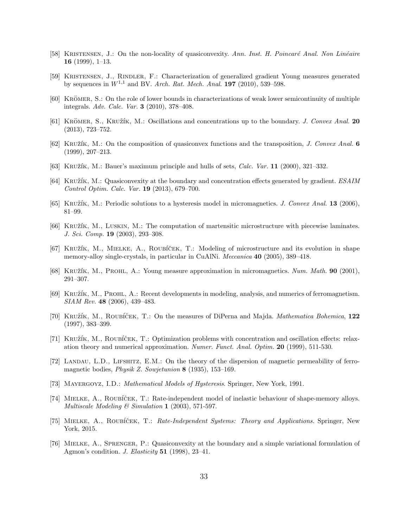- [58] KRISTENSEN, J.: On the non-locality of quasiconvexity. Ann. Inst. H. Poincaré Anal. Non Linéaire 16 (1999), 1–13.
- [59] Kristensen, J., Rindler, F.: Characterization of generalized gradient Young measures generated by sequences in  $W^{1,1}$  and BV. Arch. Rat. Mech. Anal. 197 (2010), 539-598.
- [60] KRÖMER, S.: On the role of lower bounds in characterizations of weak lower semicontinuity of multiple integrals. Adv. Calc. Var. 3 (2010), 378–408.
- [61] KRÖMER, S., KRUŽÍK, M.: Oscillations and concentrations up to the boundary. J. Convex Anal. 20 (2013), 723–752.
- [62] KRUŽÍK, M.: On the composition of quasiconvex functions and the transposition, J. Convex Anal. 6 (1999), 207–213.
- [63] KRUŽÍK, M.: Bauer's maximum principle and hulls of sets, *Calc. Var.* 11 (2000), 321–332.
- [64] KRUŽÍK, M.: Quasiconvexity at the boundary and concentration effects generated by gradient. ESAIM Control Optim. Calc. Var. 19 (2013), 679–700.
- [65] KRUŽÍK, M.: Periodic solutions to a hysteresis model in micromagnetics. J. Convex Anal. 13 (2006), 81–99.
- [66] KRUŽÍK, M., LUSKIN, M.: The computation of martensitic microstructure with piecewise laminates. J. Sci. Comp. 19 (2003), 293–308.
- [67] KRUŽÍK, M., MIELKE, A., ROUBÍČEK, T.: Modeling of microstructure and its evolution in shape memory-alloy single-crystals, in particular in CuAlNi. *Meccanica* **40** (2005), 389–418.
- [68] Kruˇz´ık, M., Prohl, A.: Young measure approximation in micromagnetics. Num. Math. 90 (2001), 291–307.
- [69] Kruˇz´ık, M., Prohl, A.: Recent developments in modeling, analysis, and numerics of ferromagnetism. SIAM Rev. 48 (2006), 439–483.
- [70] KRUŽÍK, M., ROUBÍČEK, T.: On the measures of DiPerna and Majda. *Mathematica Bohemica*, 122 (1997), 383–399.
- [71] KRUŽÍK, M., ROUBÍČEK, T.: Optimization problems with concentration and oscillation effects: relaxation theory and numerical approximation. Numer. Funct. Anal. Optim. 20 (1999), 511-530.
- [72] Landau, L.D., Lifshitz, E.M.: On the theory of the dispersion of magnetic permeability of ferromagnetic bodies, *Physik Z. Sowjetunion* 8 (1935), 153-169.
- [73] Mayergoyz, I.D.: Mathematical Models of Hysteresis. Springer, New York, 1991.
- [74] MIELKE, A., ROUBÍČEK, T.: Rate-independent model of inelastic behaviour of shape-memory alloys. Multiscale Modeling  $\mathcal C$  Simulation 1 (2003), 571-597.
- [75] MIELKE, A., ROUBÍČEK, T.: Rate-Independent Systems: Theory and Applications. Springer, New York, 2015.
- [76] Mielke, A., Sprenger, P.: Quasiconvexity at the boundary and a simple variational formulation of Agmon's condition. J. Elasticity 51 (1998), 23–41.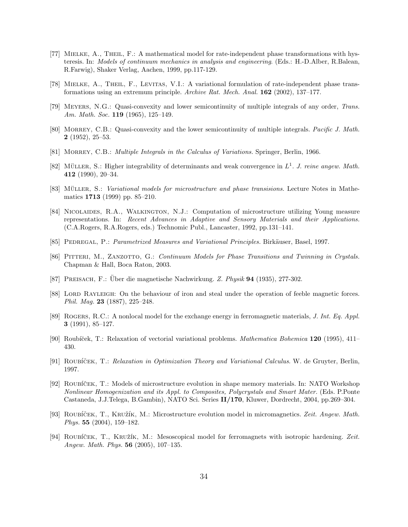- [77] Mielke, A., Theil, F.: A mathematical model for rate-independent phase transformations with hysteresis. In: Models of continuum mechanics in analysis and engineering. (Eds.: H.-D.Alber, R.Balean, R.Farwig), Shaker Verlag, Aachen, 1999, pp.117-129.
- [78] Mielke, A., Theil, F., Levitas, V.I.: A variational formulation of rate-independent phase transformations using an extremum principle. Archive Rat. Mech. Anal. 162 (2002), 137–177.
- [79] Meyers, N.G.: Quasi-convexity and lower semicontinuity of multiple integrals of any order, Trans. Am. Math. Soc. **119** (1965), 125-149.
- [80] Morrey, C.B.: Quasi-convexity and the lower semicontinuity of multiple integrals. Pacific J. Math. 2 (1952), 25–53.
- [81] MORREY, C.B.: *Multiple Integrals in the Calculus of Variations*. Springer, Berlin, 1966.
- [82] MÜLLER, S.: Higher integrability of determinants and weak convergence in  $L^1$ . J. reine angew. Math. 412 (1990), 20–34.
- [83] MÜLLER, S.: *Variational models for microstructure and phase transisions*. Lecture Notes in Mathematics 1713 (1999) pp. 85–210.
- [84] Nicolaides, R.A., Walkington, N.J.: Computation of microstructure utilizing Young measure representations. In: Recent Advances in Adaptive and Sensory Materials and their Applications. (C.A.Rogers, R.A.Rogers, eds.) Technomic Publ., Lancaster, 1992, pp.131–141.
- [85] PEDREGAL, P.: Parametrized Measures and Variational Principles. Birkäuser, Basel, 1997.
- [86] PITTERI, M., ZANZOTTO, G.: Continuum Models for Phase Transitions and Twinning in Crystals. Chapman & Hall, Boca Raton, 2003.
- [87] PREISACH, F.: Uber die magnetische Nachwirkung. Z. Physik 94 (1935), 277-302.
- [88] LORD RAYLEIGH: On the behaviour of iron and steal under the operation of feeble magnetic forces. Phil. Mag. 23 (1887), 225–248.
- [89] Rogers, R.C.: A nonlocal model for the exchange energy in ferromagnetic materials, J. Int. Eq. Appl. 3 (1991), 85–127.
- [90] Roubíček, T.: Relaxation of vectorial variational problems. *Mathematica Bohemica* 120 (1995), 411– 430.
- [91] ROUBÍČEK, T.: Relaxation in Optimization Theory and Variational Calculus. W. de Gruyter, Berlin, 1997.
- [92] ROUBÍČEK, T.: Models of microstructure evolution in shape memory materials. In: NATO Workshop Nonlinear Homogenization and its Appl. to Composites, Polycrystals and Smart Mater. (Eds. P.Ponte Castaneda, J.J.Telega, B.Gambin), NATO Sci. Series II/170, Kluwer, Dordrecht, 2004, pp.269–304.
- [93] ROUBÍČEK, T., KRUŽÍK, M.: Microstructure evolution model in micromagnetics. Zeit. Angew. Math. Phys. 55 (2004), 159–182.
- [94] ROUBÍČEK, T., KRUŽÍK, M.: Mesoscopical model for ferromagnets with isotropic hardening. Zeit. Angew. Math. Phys. 56 (2005), 107–135.